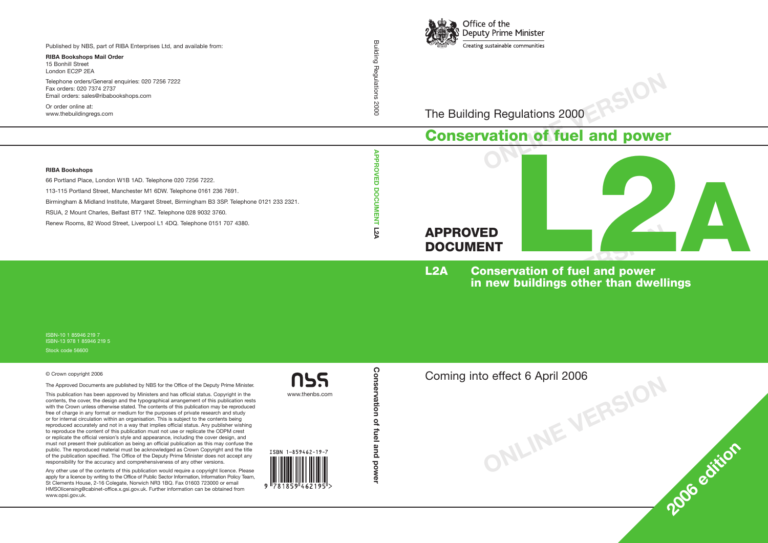

The Building Regulations 2000

# **Conservation of fuel and power**



**ONLINE VERSION**

**<sup>2006</sup> edition**

**L2A Conservation of fuel and power in new buildings other than dwellings**

**ONLINE VERSION** Coming into effect 6 April 2006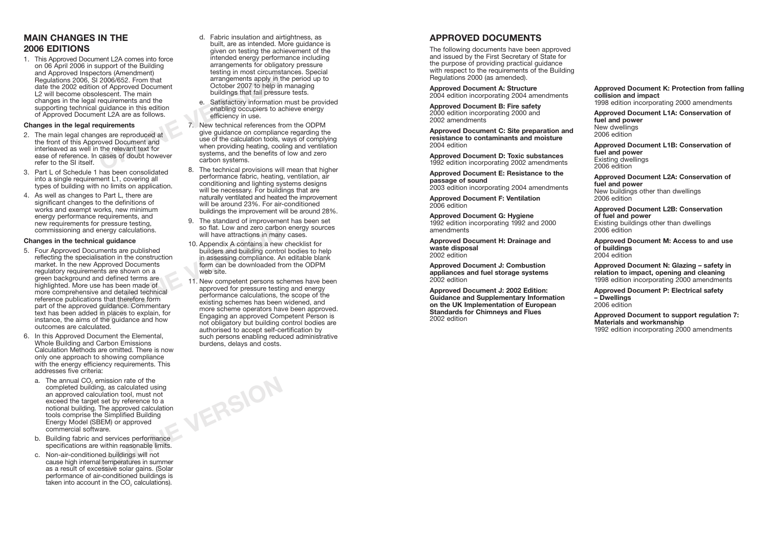# **MAIN CHANGES IN THE 2006 EDITIONS**

1. This Approved Document L2A comes into force on 06 April 2006 in support of the Building and Approved Inspectors (Amendment) Regulations 2006, SI 2006/652. From that date the 2002 edition of Approved Document L2 will become obsolescent. The main changes in the legal requirements and the supporting technical guidance in this edition of Approved Document L2A are as follows.

#### **Changes in the legal requirements**

- 2. The main legal changes are reproduced at the front of this Approved Document and interleaved as well in the relevant text for ease of reference. In cases of doubt however refer to the SI itself.
- 3. Part L of Schedule 1 has been consolidated into a single requirement L1, covering all types of building with no limits on application.
- 4. As well as changes to Part L, there are significant changes to the definitions of works and exempt works, new minimum energy performance requirements, and new requirements for pressure testing, commissioning and energy calculations.

#### **Changes in the technical guidance**

- Freedoutations.<br> **So flat.** Low and zero carbo<br>
will have attractions in man<br> **COMPAGE ACCES**<br> **ONEXE A contains a new<br>
ments are published<br>
builders and building contraction<br>
in assessing compliance. A<br>
proved Documents<br>** 5. Four Approved Documents are published reflecting the specialisation in the construction market. In the new Approved Documents regulatory requirements are shown on a green background and defined terms are highlighted. More use has been made of more comprehensive and detailed technical reference publications that therefore form part of the approved guidance. Commentary text has been added in places to explain, for instance, the aims of the guidance and how outcomes are calculated.
- 6. In this Approved Document the Elemental, Whole Building and Carbon Emissions Calculation Methods are omitted. There is now only one approach to showing compliance with the energy efficiency requirements. This addresses five criteria:
	- a. The annual  $CO<sub>2</sub>$  emission rate of the completed building, as calculated using an approved calculation tool, must not exceed the target set by reference to a notional building. The approved calculation tools comprise the Simplified Building Energy Model (SBEM) or approved commercial software.
	- b. Building fabric and services performance specifications are within reasonable limits.
	- c. Non-air-conditioned buildings will not cause high internal temperatures in summer as a result of excessive solar gains. (Solar performance of air-conditioned buildings is taken into account in the  $CO<sub>2</sub>$  calculations).
- d. Fabric insulation and airtightness, as built, are as intended. More guidance is given on testing the achievement of the intended energy performance including arrangements for obligatory pressure testing in most circumstances. Special arrangements apply in the period up to October 2007 to help in managing buildings that fail pressure tests.
- e. Satisfactory information must be provided enabling occupiers to achieve energy efficiency in use.
- COOG/652. From that<br>
1 of Approved Document<br>
1 of Approved Document<br>
requirements and the<br>
guidance in this edition<br>
guidance in this edition<br>
guidance in this edition<br>
e. Satisfactory information<br>
e. Satisfactory informat 7. New technical references from the ODPM give guidance on compliance regarding the use of the calculation tools, ways of complying when providing heating, cooling and ventilation systems, and the benefits of low and zero carbon systems.
	- 8. The technical provisions will mean that higher performance fabric, heating, ventilation, air conditioning and lighting systems designs will be necessary. For buildings that are naturally ventilated and heated the improvement will be around 23%. For air-conditioned buildings the improvement will be around 28%.
	- 9. The standard of improvement has been set so flat. Low and zero carbon energy sources will have attractions in many cases.
	- 10. Appendix A contains a new checklist for builders and building control bodies to help in assessing compliance. An editable blank form can be downloaded from the ODPM web site.
	- 11. New competent persons schemes have been approved for pressure testing and energy performance calculations, the scope of the existing schemes has been widened, and more scheme operators have been approved. Engaging an approved Competent Person is not obligatory but building control bodies are authorised to accept self-certification by such persons enabling reduced administrative burdens, delays and costs.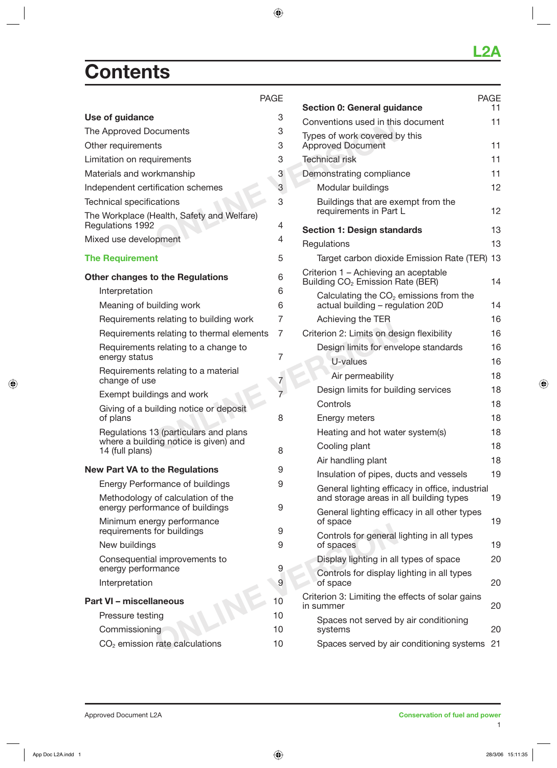# **Contents**

|                                                                               | 1 nul          | Section 0: General guid                       |
|-------------------------------------------------------------------------------|----------------|-----------------------------------------------|
| Use of guidance                                                               | 3              | Conventions used in this                      |
| The Approved Documents                                                        | 3              | Types of work covered b                       |
| Other requirements                                                            | 3              | <b>Approved Document</b>                      |
| Limitation on requirements                                                    | 3              | <b>Technical risk</b>                         |
| Materials and workmanship                                                     | 3              | Demonstrating compliar                        |
| Independent certification schemes                                             | 3              | Modular buildings                             |
| <b>Technical specifications</b><br>The Workplace (Health, Safety and Welfare) | 3              | Buildings that are ex<br>requirements in Part |
| Regulations 1992                                                              | 4              | Section 1: Design stan                        |
| Mixed use development                                                         | 4              | Regulations                                   |
| <b>The Requirement</b>                                                        | 5              | Target carbon dioxid                          |
|                                                                               |                | Criterion 1 - Achieving a                     |
| <b>Other changes to the Regulations</b>                                       | 6              | Building CO <sub>2</sub> Emission F           |
| Interpretation                                                                | 6              | Calculating the $CO2$                         |
| Meaning of building work                                                      | 6              | actual building - reg                         |
| Requirements relating to building work                                        | $\overline{7}$ | Achieving the TER                             |
| Requirements relating to thermal elements                                     | 7              | Criterion 2: Limits on de                     |
| Requirements relating to a change to<br>energy status                         | $\overline{7}$ | Design limits for env                         |
| Requirements relating to a material                                           |                | U-values                                      |
| change of use                                                                 | 7              | Air permeability                              |
| Exempt buildings and work                                                     | $\overline{7}$ | Design limits for buil                        |
| Giving of a building notice or deposit<br>of plans                            | 8              | Controls<br>Energy meters                     |
| Regulations 13 (particulars and plans                                         |                | Heating and hot wat                           |
| where a building notice is given) and                                         |                | Cooling plant                                 |
| 14 (full plans)                                                               | 8              | Air handling plant                            |
| <b>New Part VA to the Regulations</b>                                         | 9              | Insulation of pipes, o                        |
| <b>Energy Performance of buildings</b>                                        | 9              | General lighting effic                        |
| Methodology of calculation of the<br>energy performance of buildings          | 9              | and storage areas in                          |
| Minimum energy performance<br>requirements for buildings                      | 9              | General lighting effic<br>of space            |
| New buildings                                                                 | 9              | Controls for general<br>of spaces             |
| Consequential improvements to<br>energy performance                           | 9              | Display lighting in all                       |
| Interpretation                                                                | 9              | Controls for display<br>of space              |
| <b>Part VI - miscellaneous</b>                                                | 10             | Criterion 3: Limiting the<br>in summer        |
| Pressure testing                                                              | 10             | Spaces not served b                           |
| Commissioning                                                                 | 10             | systems                                       |
| $CO2$ emission rate calculations                                              | 10             | Spaces served by air                          |
|                                                                               |                |                                               |

|                                                                                            | <b>PAGE</b> |
|--------------------------------------------------------------------------------------------|-------------|
| <b>Section 0: General guidance</b>                                                         | 11          |
| Conventions used in this document                                                          | 11          |
| Types of work covered by this<br><b>Approved Document</b>                                  | 11          |
| <b>Technical risk</b>                                                                      | 11          |
| Demonstrating compliance                                                                   | 11          |
| Modular buildings                                                                          | 12          |
| Buildings that are exempt from the<br>requirements in Part L                               | 12          |
| <b>Section 1: Design standards</b>                                                         | 13          |
| Regulations                                                                                | 13          |
| Target carbon dioxide Emission Rate (TER) 13                                               |             |
| Criterion 1 – Achieving an aceptable<br>Building CO <sub>2</sub> Emission Rate (BER)       | 14          |
| Calculating the $CO2$ emissions from the<br>actual building - regulation 20D               | 14          |
| Achieving the TER                                                                          | 16          |
| Criterion 2: Limits on design flexibility                                                  | 16          |
| Design limits for envelope standards                                                       | 16          |
| U-values                                                                                   | 16          |
| Air permeability                                                                           | 18          |
| Design limits for building services                                                        | 18          |
| Controls                                                                                   | 18          |
| <b>Energy meters</b>                                                                       | 18          |
| Heating and hot water system(s)                                                            | 18          |
| Cooling plant                                                                              | 18          |
| Air handling plant                                                                         | 18          |
| Insulation of pipes, ducts and vessels                                                     | 19          |
| General lighting efficacy in office, industrial<br>and storage areas in all building types | 19          |
| General lighting efficacy in all other types<br>of space                                   | 19          |
| Controls for general lighting in all types<br>of spaces                                    | 19          |
| Display lighting in all types of space                                                     | 20          |
| Controls for display lighting in all types<br>of space                                     | 20          |
| Criterion 3: Limiting the effects of solar gains<br>in summer                              | 20          |
| Spaces not served by air conditioning<br>systems                                           | 20          |
| Spaces served by air conditioning systems                                                  | 21          |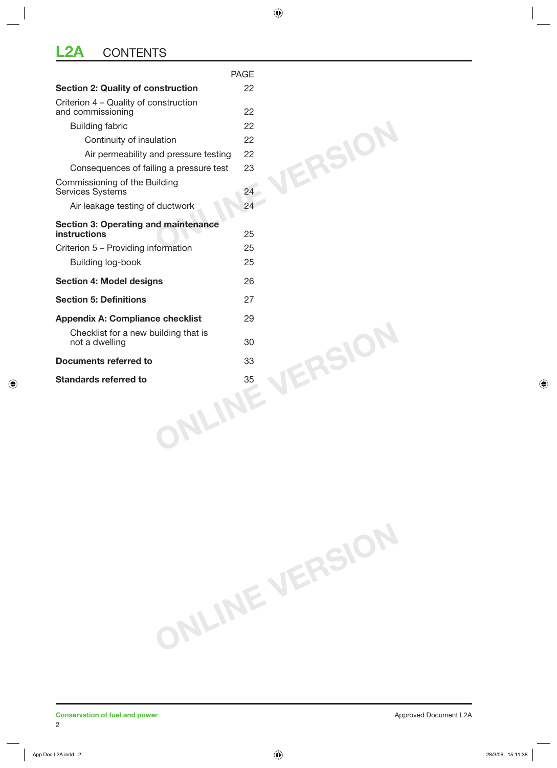# **L2A** CONTENTS

|                                                                    | <b>PAGE</b>        |
|--------------------------------------------------------------------|--------------------|
| <b>Section 2: Quality of construction</b>                          | 22                 |
| Criterion 4 – Quality of construction<br>and commissioning         | 22                 |
| <b>Building fabric</b>                                             | 22                 |
| Continuity of insulation                                           | 22                 |
| Air permeability and pressure testing                              | 22                 |
| Consequences of failing a pressure test                            | 23                 |
| Commissioning of the Building<br><b>Services Systems</b>           | ERSIO<br>24        |
| Air leakage testing of ductwork                                    | 24                 |
| <b>Section 3: Operating and maintenance</b><br><b>instructions</b> | 25                 |
| Criterion 5 - Providing information                                | 25                 |
| Building log-book                                                  | 25                 |
| <b>Section 4: Model designs</b>                                    | 26                 |
| <b>Section 5: Definitions</b>                                      | 27                 |
| <b>Appendix A: Compliance checklist</b>                            | 29                 |
| Checklist for a new building that is<br>not a dwelling             | 30<br><b>ERSIC</b> |
| Documents referred to                                              | 33                 |
| <b>Standards referred to</b>                                       | 35                 |
| NLINE                                                              |                    |

**Conservation of fuel and power Conservation of fuel and power** Approved Document L2A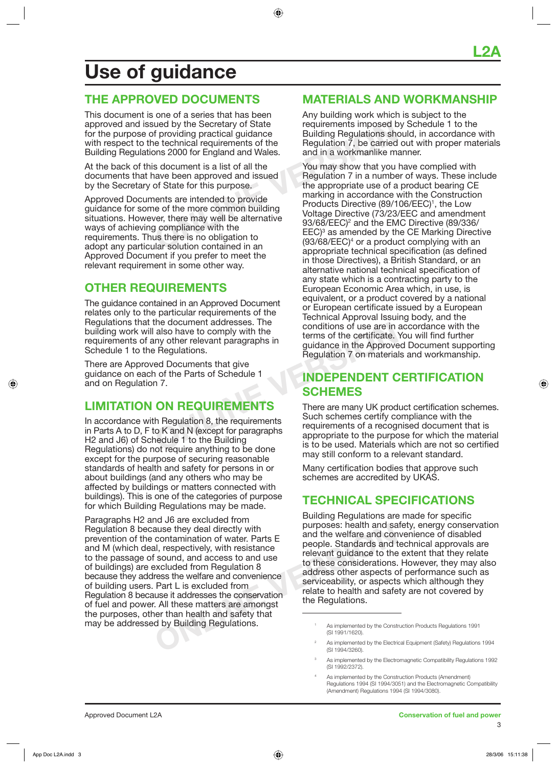# **Use of guidance**

## **THE APPROVED DOCUMENTS**

This document is one of a series that has been approved and issued by the Secretary of State for the purpose of providing practical guidance with respect to the technical requirements of the Building Regulations 2000 for England and Wales.

At the back of this document is a list of all the documents that have been approved and issued by the Secretary of State for this purpose.

Approved Documents are intended to provide guidance for some of the more common building situations. However, there may well be alternative ways of achieving compliance with the requirements. Thus there is no obligation to adopt any particular solution contained in an Approved Document if you prefer to meet the relevant requirement in some other way.

## **OTHER REQUIREMENTS**

The guidance contained in an Approved Document relates only to the particular requirements of the Regulations that the document addresses. The building work will also have to comply with the requirements of any other relevant paragraphs in Schedule 1 to the Regulations.

There are Approved Documents that give guidance on each of the Parts of Schedule 1 and on Regulation 7.

## **LIMITATION ON REQUIREMENTS**

The document addresses. The<br>
also have to comply with the<br>
Pregulations.<br>
Pregulations.<br>
Pregulations of the Parts of Schedule 1<br>
The Parts of Schedule 1<br> **ON REQUIREMENTS**<br> **ON REQUIREMENTS**<br>
There are many UK prod<br>
the P In accordance with Regulation 8, the requirements in Parts A to D, F to K and N (except for paragraphs H2 and J6) of Schedule 1 to the Building Regulations) do not require anything to be done except for the purpose of securing reasonable standards of health and safety for persons in or about buildings (and any others who may be affected by buildings or matters connected with buildings). This is one of the categories of purpose for which Building Regulations may be made.

**EXERCUTE:** As implemented by the Electric (SI 1994/3260).<br>
Samplemented by the Electric Containing to the security with resistance<br>
Samplemented and the welfare and containing is excluded from Regulation 8<br>
The welfare an Paragraphs H2 and J6 are excluded from Regulation 8 because they deal directly with prevention of the contamination of water. Parts E and M (which deal, respectively, with resistance to the passage of sound, and access to and use of buildings) are excluded from Regulation 8 because they address the welfare and convenience of building users. Part L is excluded from Regulation 8 because it addresses the conservation of fuel and power. All these matters are amongst the purposes, other than health and safety that may be addressed by Building Regulations.

### **MATERIALS AND WORKMANSHIP**

Any building work which is subject to the requirements imposed by Schedule 1 to the Building Regulations should, in accordance with Regulation 7, be carried out with proper materials and in a workmanlike manner.

and by the Secretary of State<br>
f providing practical guidance<br>
be technical requirements of the<br>
Dialiding Regulations show<br>
and in a workmanike m<br>
s document is a list of all the<br>
s document is a list of all the<br>
s docume You may show that you have complied with Regulation 7 in a number of ways. These include the appropriate use of a product bearing CE marking in accordance with the Construction Products Directive (89/106/EEC)<sup>1</sup>, the Low Voltage Directive (73/23/EEC and amendment 93/68/EEC)<sup>2</sup> and the EMC Directive (89/336/ EEC)<sup>3</sup> as amended by the CE Marking Directive  $(93/68/EEC)<sup>4</sup>$  or a product complying with an appropriate technical specification (as defined in those Directives), a British Standard, or an alternative national technical specification of any state which is a contracting party to the European Economic Area which, in use, is equivalent, or a product covered by a national or European certificate issued by a European Technical Approval Issuing body, and the conditions of use are in accordance with the terms of the certificate. You will find further guidance in the Approved Document supporting Regulation 7 on materials and workmanship.

## **INDEPENDENT CERTIFICATION SCHEMES**

There are many UK product certification schemes. Such schemes certify compliance with the requirements of a recognised document that is appropriate to the purpose for which the material is to be used. Materials which are not so certified may still conform to a relevant standard.

Many certification bodies that approve such schemes are accredited by UKAS.

## **TECHNICAL SPECIFICATIONS**

Building Regulations are made for specific purposes: health and safety, energy conservation and the welfare and convenience of disabled people. Standards and technical approvals are relevant guidance to the extent that they relate to these considerations. However, they may also address other aspects of performance such as serviceability, or aspects which although they relate to health and safety are not covered by the Regulations.

3

4

<sup>1</sup> As implemented by the Construction Products Regulations 1991 (SI 1991/1620).

<sup>2</sup> As implemented by the Electrical Equipment (Safety) Regulations 1994 (SI 1994/3260).

As implemented by the Electromagnetic Compatibility Regulations 1992 (SI 1992/2372).

As implemented by the Construction Products (Amendment) Regulations 1994 (SI 1994/3051) and the Electromagnetic Compatibility (Amendment) Regulations 1994 (SI 1994/3080).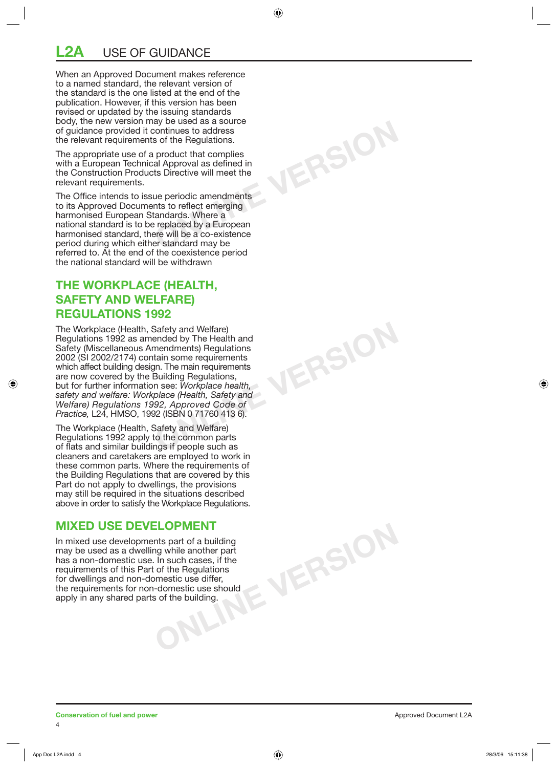# **L2A** USE OF GUIDANCE

When an Approved Document makes reference to a named standard, the relevant version of the standard is the one listed at the end of the publication. However, if this version has been revised or updated by the issuing standards body, the new version may be used as a source of guidance provided it continues to address the relevant requirements of the Regulations.

The appropriate use of a product that complies with a European Technical Approval as defined in the Construction Products Directive will meet the relevant requirements.

**ONLINE VERSION**

**ONLINE VERSION**

The Office intends to issue periodic amendments to its Approved Documents to reflect emerging harmonised European Standards. Where a national standard is to be replaced by a European harmonised standard, there will be a co-existence period during which either standard may be referred to. At the end of the coexistence period the national standard will be withdrawn

## **THE WORKPLACE (HEALTH, SAFETY AND WELFARE) REGULATIONS 1992**

The Workplace (Health, Safety and Welfare) Regulations 1992 as amended by The Health and Safety (Miscellaneous Amendments) Regulations 2002 (SI 2002/2174) contain some requirements which affect building design. The main requirements are now covered by the Building Regulations, but for further information see: *Workplace health, safety and welfare: Workplace (Health, Safety and Welfare) Regulations 1992, Approved Code of Practice, L24, HMSO, 1992 (ISBN 0 71760 413 6).* 

The Workplace (Health, Safety and Welfare) Regulations 1992 apply to the common parts of flats and similar buildings if people such as cleaners and caretakers are employed to work in these common parts. Where the requirements of the Building Regulations that are covered by this Part do not apply to dwellings, the provisions may still be required in the situations described above in order to satisfy the Workplace Regulations.

### **MIXED USE DEVELOPMENT**

**ONLINE** THE STREET IS NOT THE POST OF THE PROPERTY OF THE PROPERTY OF THE PROPERTY OF THE PROPERTY OF THE PROPERTY OF THE PROPERTY OF THE PROPERTY OF THE PROPERTY OF THE PROPERTY OF THE PROPERTY OF THE PROPERTY OF THE PRO In mixed use developments part of a building may be used as a dwelling while another part has a non-domestic use. In such cases, if the requirements of this Part of the Regulations for dwellings and non-domestic use differ, the requirements for non-domestic use should apply in any shared parts of the building.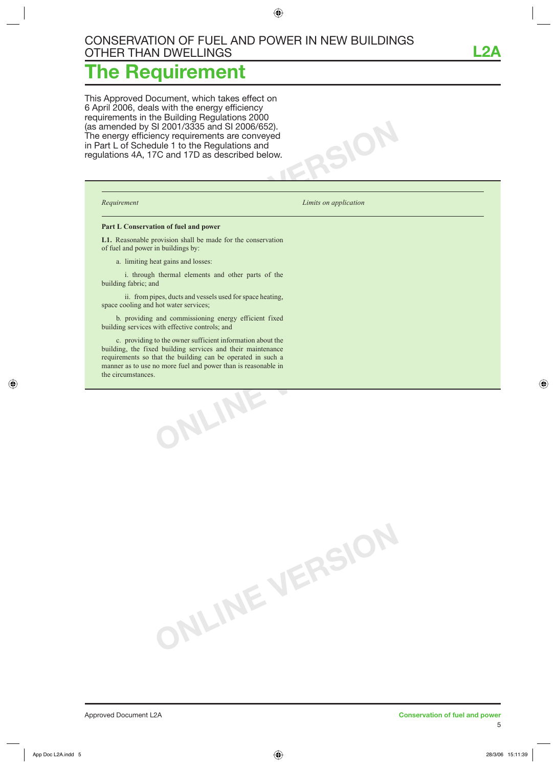# **The Requirement**

This Approved Document, which takes effect on 6 April 2006, deals with the energy efficiency requirements in the Building Regulations 2000 (as amended by SI 2001/3335 and SI 2006/652). The energy efficiency requirements are conveyed in Part L of Schedule 1 to the Regulations and regulations 4A, 17C and 17D as described below.

*Requirement Limits on application* 

 $SOR$ 

#### **Part L Conservation of fuel and power**

**L1.** Reasonable provision shall be made for the conservation of fuel and power in buildings by:

a. limiting heat gains and losses:

 i. through thermal elements and other parts of the building fabric; and

 ii. from pipes, ducts and vessels used for space heating, space cooling and hot water services;

 b. providing and commissioning energy efficient fixed building services with effective controls; and

**ONLINE VERSION** c. providing to the owner sufficient information about the building, the fixed building services and their maintenance requirements so that the building can be operated in such a manner as to use no more fuel and power than is reasonable in the circumstances.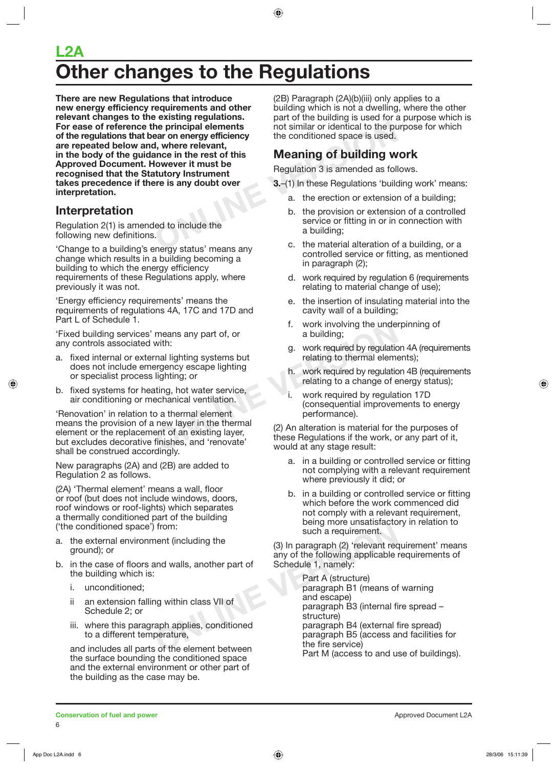# **L2A Other changes to the Regulations**

**Example 19 and 19 and 19 and 19 and 19 and 19 and 19 and 19 and 19 and 19 and 19 and 19 and 19 and 19 and 19 and 19 and 19 and 19 and 19 and 19 and 19 and 19 and 19 and 19 and 19 and 19 and 19 and 19 and 19 and 19 and 19 There are new Regulations that introduce new energy efficiency requirements and other relevant changes to the existing regulations. For ease of reference the principal elements of the regulations that bear on energy efficiency are repeated below and, where relevant, in the body of the guidance in the rest of this Approved Document. However it must be recognised that the Statutory Instrument takes precedence if there is any doubt over interpretation.**

# **Interpretation**

Regulation 2(1) is amended to include the following new definitions.

'Change to a building's energy status' means any change which results in a building becoming a building to which the energy efficiency requirements of these Regulations apply, where previously it was not.

'Energy efficiency requirements' means the requirements of regulations 4A, 17C and 17D and Part L of Schedule 1.

'Fixed building services' means any part of, or any controls associated with:

- a. fixed internal or external lighting systems but does not include emergency escape lighting or specialist process lighting; or
- b. fixed systems for heating, hot water service, air conditioning or mechanical ventilation.

means any part of, or<br>
with:<br>
with:<br>
ral lighting systems but<br>
regency escape lighting<br>
ighting; or<br>
lighting; or<br>
a building;<br>
echanical ventilation.<br>
a thermal element<br>
n. work required by regulation<br>
in the work require 'Renovation' in relation to a thermal element means the provision of a new layer in the thermal element or the replacement of an existing layer, but excludes decorative finishes, and 'renovate' shall be construed accordingly.

New paragraphs (2A) and (2B) are added to Regulation 2 as follows.

(2A) 'Thermal element' means a wall, floor or roof (but does not include windows, doors, roof windows or roof-lights) which separates a thermally conditioned part of the building ('the conditioned space') from:

- a. the external environment (including the ground); or
- b. in the case of floors and walls, another part of the building which is:
	- i. unconditioned;
	- ii an extension falling within class VII of Schedule 2; or
	- iii. where this paragraph applies, conditioned to a different temperature,

and includes all parts of the element between the surface bounding the conditioned space and the external environment or other part of the building as the case may be.

(2B) Paragraph (2A)(b)(iii) only applies to a building which is not a dwelling, where the other part of the building is used for a purpose which is not similar or identical to the purpose for which the conditioned space is used.

## **Meaning of building work**

Regulation 3 is amended as follows.

- **3.**–(1) In these Regulations 'building work' means:
	- a. the erection or extension of a building;
	- b. the provision or extension of a controlled service or fitting in or in connection with a building;
	- c. the material alteration of a building, or a controlled service or fitting, as mentioned in paragraph (2);
	- d. work required by regulation 6 (requirements relating to material change of use);
	- e. the insertion of insulating material into the cavity wall of a building;
	- f. work involving the underpinning of a building;
	- g. work required by regulation 4A (requirements relating to thermal elements);
	- h. work required by regulation 4B (requirements relating to a change of energy status);
	- i. work required by regulation 17D (consequential improvements to energy performance).

(2) An alteration is material for the purposes of these Regulations if the work, or any part of it, would at any stage result:

- a. in a building or controlled service or fitting not complying with a relevant requirement where previously it did; or
- b. in a building or controlled service or fitting which before the work commenced did not comply with a relevant requirement, being more unsatisfactory in relation to such a requirement.

(3) In paragraph (2) 'relevant requirement' means any of the following applicable requirements of Schedule 1, namely:

From:<br>
Next (including the<br>
and walls, another part of<br>
and walls, another part of<br>
Schedule 1, namely:<br>
Part A (structure)<br>
paragraph B1 (means of<br>
paragraph B3 (internal fi<br>
aph applies, conditioned<br>
perature,<br>
so of the Part A (structure) paragraph B1 (means of warning and escape) paragraph B3 (internal fire spread – structure) paragraph B4 (external fire spread) paragraph B5 (access and facilities for the fire service) Part M (access to and use of buildings).

**Conservation of fuel and power Conservation of the and power** Approved Document L2A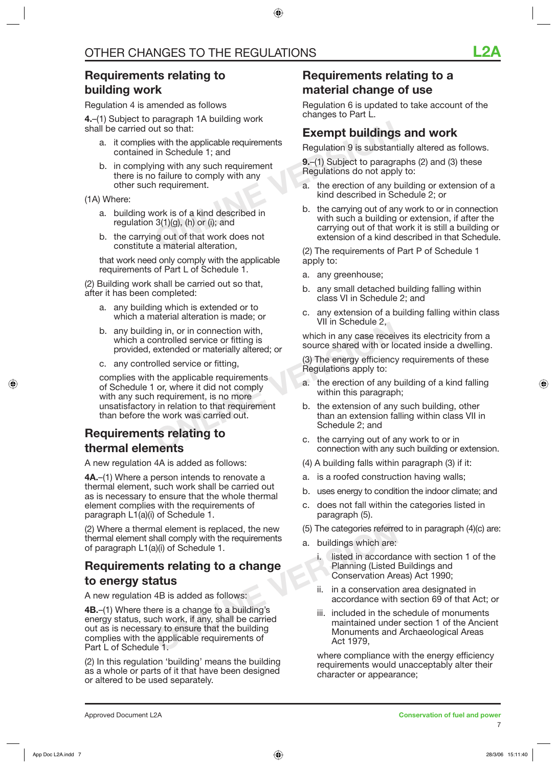## **Requirements relating to building work**

Regulation 4 is amended as follows

**4.**–(1) Subject to paragraph 1A building work shall be carried out so that:

- a. it complies with the applicable requirements contained in Schedule 1; and
- b. in complying with any such requirement there is no failure to comply with any other such requirement.

(1A) Where:

- a. building work is of a kind described in regulation  $3(1)(g)$ , (h) or (i); and
- b. the carrying out of that work does not constitute a material alteration,

 that work need only comply with the applicable requirements of Part L of Schedule 1.

(2) Building work shall be carried out so that, after it has been completed:

- a. any building which is extended or to which a material alteration is made; or
- b. any building in, or in connection with, which a controlled service or fitting is provided, extended or materially altered; or
- c. any controlled service or fitting,

and in the applicable requirements<br>
ontrolled service or fitting is<br>
bled service or fitting,<br>
bled service or fitting,<br>
bled service or fitting,<br>
or, where it did not comply<br>
or, where it did not comply<br>
a. the erection o complies with the applicable requirements of Schedule 1 or, where it did not comply with any such requirement, is no more unsatisfactory in relation to that requirement than before the work was carried out.

## **Requirements relating to thermal elements**

A new regulation 4A is added as follows:

**4A.**–(1) Where a person intends to renovate a thermal element, such work shall be carried out as is necessary to ensure that the whole thermal element complies with the requirements of paragraph L1(a)(i) of Schedule 1.

(2) Where a thermal element is replaced, the new thermal element shall comply with the requirements of paragraph L1(a)(i) of Schedule 1.

## **Requirements relating to a change to energy status**

A new regulation 4B is added as follows:

**Example 1.** Included in the step is a change of a change of a change of a change of a change of a change of a change of a change of a change of a change of a corda Planning (Listed in accorda<br> **ALUS** (AB is added as follo **4B.**–(1) Where there is a change to a building's energy status, such work, if any, shall be carried out as is necessary to ensure that the building complies with the applicable requirements of Part L of Schedule 1.

(2) In this regulation 'building' means the building as a whole or parts of it that have been designed or altered to be used separately.

## **Requirements relating to a material change of use**

Regulation 6 is updated to take account of the changes to Part L.

### **Exempt buildings and work**

Regulation 9 is substantially altered as follows.

**9.**–(1) Subject to paragraphs (2) and (3) these Regulations do not apply to:

- a. the erection of any building or extension of a kind described in Schedule 2; or
- Exempt buildings<br>
ut so that:<br>
in Schedule 1; and<br>
ing with any such requirement<br>
b failure to comply with any<br>
n requirement.<br>
Notation of a kind described in<br>
ork is of a kind described in<br>
Schedule 1; and<br>
a. the erecti b. the carrying out of any work to or in connection with such a building or extension, if after the carrying out of that work it is still a building or extension of a kind described in that Schedule.

(2) The requirements of Part P of Schedule 1 apply to:

- a. any greenhouse;
- b. any small detached building falling within class VI in Schedule 2; and
- c. any extension of a building falling within class VII in Schedule 2,

which in any case receives its electricity from a source shared with or located inside a dwelling.

(3) The energy efficiency requirements of these Regulations apply to:

- a. the erection of any building of a kind falling within this paragraph;
- b. the extension of any such building, other than an extension falling within class VII in Schedule 2; and
- c. the carrying out of any work to or in connection with any such building or extension.
- (4) A building falls within paragraph (3) if it:
- a. is a roofed construction having walls;
- b. uses energy to condition the indoor climate; and
- c. does not fall within the categories listed in paragraph (5).
- (5) The categories referred to in paragraph (4)(c) are:
- a. buildings which are:
	- i. listed in accordance with section 1 of the Planning (Listed Buildings and Conservation Areas) Act 1990;
	- ii. in a conservation area designated in accordance with section 69 of that Act; or
	- iii. included in the schedule of monuments maintained under section 1 of the Ancient Monuments and Archaeological Areas Act 1979,

 where compliance with the energy efficiency requirements would unacceptably alter their character or appearance;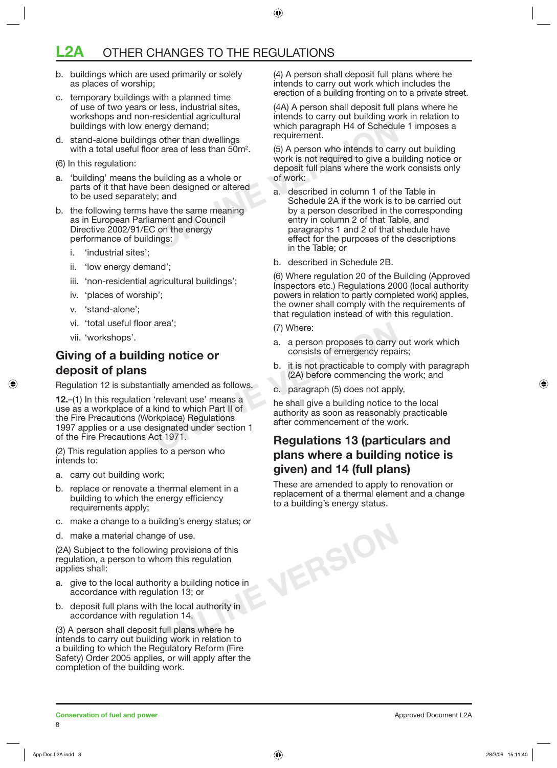# **L2A** OTHER CHANGES TO THE REGULATIONS

- b. buildings which are used primarily or solely as places of worship;
- c. temporary buildings with a planned time of use of two years or less, industrial sites, workshops and non-residential agricultural buildings with low energy demand;
- d. stand-alone buildings other than dwellings with a total useful floor area of less than  $50m^2$ .
- (6) In this regulation:
- a. 'building' means the building as a whole or parts of it that have been designed or altered to be used separately; and
- b. the following terms have the same meaning as in European Parliament and Council Directive 2002/91/EC on the energy performance of buildings:
	- i. 'industrial sites';
	- ii. 'low energy demand';
	- iii. 'non-residential agricultural buildings';
	- iv. 'places of worship';
	- v. 'stand-alone';
	- vi. 'total useful floor area';
	- vii. 'workshops'.

# **Giving of a building notice or deposit of plans**

Regulation 12 is substantially amended as follows.

ansari (7) Where:<br>
a. a person proposes to carry<br> **ONLINE COMPAGE COMPAGE COMPLEM**<br>
b. it is not practicable to comp<br>
(2A) before commencing the<br>
tially amended as follows.<br>
(2A) before commencing the<br>
c. paragraph (5) doe **12.**–(1) In this regulation 'relevant use' means a use as a workplace of a kind to which Part II of the Fire Precautions (Workplace) Regulations 1997 applies or a use designated under section 1 of the Fire Precautions Act 1971.

(2) This regulation applies to a person who intends to:

- a. carry out building work;
- b. replace or renovate a thermal element in a building to which the energy efficiency requirements apply;
- c. make a change to a building's energy status; or
- d. make a material change of use.

(2A) Subject to the following provisions of this regulation, a person to whom this regulation applies shall:

- a. give to the local authority a building notice in accordance with regulation 13; or
- b. deposit full plans with the local authority in accordance with regulation 14.

(3) A person shall deposit full plans where he intends to carry out building work in relation to a building to which the Regulatory Reform (Fire Safety) Order 2005 applies, or will apply after the completion of the building work.

(4) A person shall deposit full plans where he intends to carry out work which includes the erection of a building fronting on to a private street.

(4A) A person shall deposit full plans where he intends to carry out building work in relation to which paragraph H4 of Schedule 1 imposes a requirement.

(5) A person who intends to carry out building work is not required to give a building notice or deposit full plans where the work consists only of work:

- ergy demand;<br>
So ther than dwellings<br>
or area of less than 50m<sup>2</sup>. (5) A person who intends to car<br>
work is not required to give a b<br>
deposit full plans where the wo<br>
building as a whole or<br>
of work:<br>
een designed or alter a. described in column 1 of the Table in Schedule 2A if the work is to be carried out by a person described in the corresponding entry in column 2 of that Table, and paragraphs 1 and 2 of that shedule have effect for the purposes of the descriptions in the Table; or
	- b. described in Schedule 2B.

(6) Where regulation 20 of the Building (Approved Inspectors etc.) Regulations 2000 (local authority powers in relation to partly completed work) applies, the owner shall comply with the requirements of that regulation instead of with this regulation.

- (7) Where:
- a. a person proposes to carry out work which consists of emergency repairs;
- b. it is not practicable to comply with paragraph (2A) before commencing the work; and
- c. paragraph (5) does not apply,

**ONLINE VERSION**

he shall give a building notice to the local authority as soon as reasonably practicable after commencement of the work.

# **Regulations 13 (particulars and plans where a building notice is given) and 14 (full plans)**

These are amended to apply to renovation or replacement of a thermal element and a change to a building's energy status.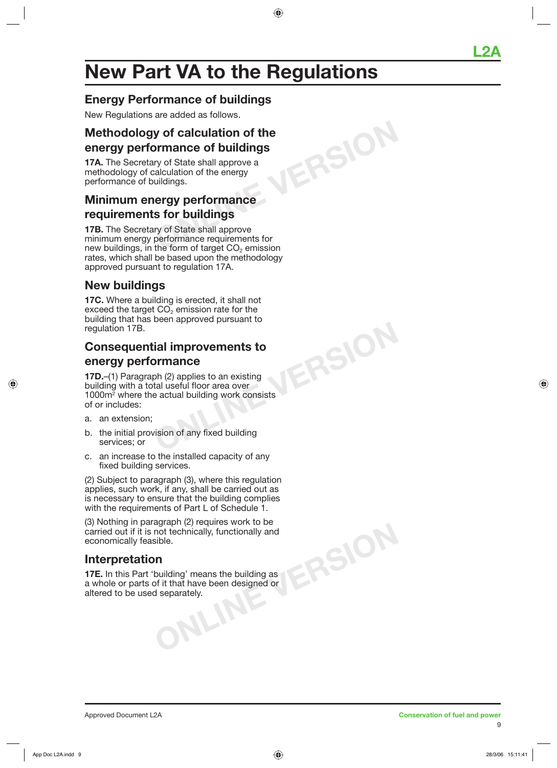# **New Part VA to the Regulations**

**ONLINE VERSION**

**ONLINE VERSION**

### **Energy Performance of buildings**

New Regulations are added as follows.

### **Methodology of calculation of the energy performance of buildings**

**17A.** The Secretary of State shall approve a methodology of calculation of the energy performance of buildings.

### **Minimum energy performance requirements for buildings**

**17B.** The Secretary of State shall approve minimum energy performance requirements for new buildings, in the form of target  $CO<sub>2</sub>$  emission rates, which shall be based upon the methodology approved pursuant to regulation 17A.

### **New buildings**

**17C.** Where a building is erected, it shall not exceed the target  $CO<sub>2</sub>$  emission rate for the building that has been approved pursuant to regulation 17B.

## **Consequential improvements to energy performance**

**17D.**–(1) Paragraph (2) applies to an existing building with a total useful floor area over 1000m2 where the actual building work consists of or includes:

- a. an extension;
- b. the initial provision of any fixed building services; or
- c. an increase to the installed capacity of any fixed building services.

(2) Subject to paragraph (3), where this regulation applies, such work, if any, shall be carried out as is necessary to ensure that the building complies with the requirements of Part L of Schedule 1.

**EXAMPLE In that have been designed or**<br> **VERSION**<br> **VERSION**<br> **VERSION** (3) Nothing in paragraph (2) requires work to be carried out if it is not technically, functionally and economically feasible.

### **Interpretation**

**17E.** In this Part 'building' means the building as a whole or parts of it that have been designed or altered to be used separately.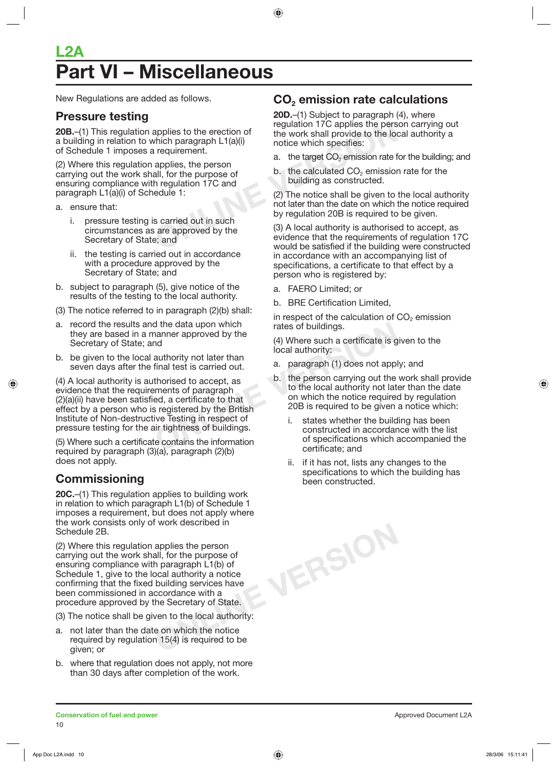# **L2A Part VI – Miscellaneous**

New Regulations are added as follows.

### **Pressure testing**

**20B.**–(1) This regulation applies to the erection of a building in relation to which paragraph L1(a)(i) of Schedule 1 imposes a requirement.

(2) Where this regulation applies, the person carrying out the work shall, for the purpose of ensuring compliance with regulation 17C and paragraph L1(a)(i) of Schedule 1:

- a. ensure that:
	- i. pressure testing is carried out in such circumstances as are approved by the Secretary of State; and
	- ii. the testing is carried out in accordance with a procedure approved by the Secretary of State; and
- b. subject to paragraph (5), give notice of the results of the testing to the local authority.
- (3) The notice referred to in paragraph (2)(b) shall:
- a. record the results and the data upon which they are based in a manner approved by the Secretary of State; and
- b. be given to the local authority not later than seven days after the final test is carried out.

d the data upon which<br>
anner approved by the<br>
d (4) Where such a certificate is g<br>
local authority:<br>
final test is carried out.<br>
thorised to accept, as<br>
thorised to accept, as<br>
the person carrying out the<br>
thorised to acce (4) A local authority is authorised to accept, as evidence that the requirements of paragraph (2)(a)(ii) have been satisfied, a certificate to that effect by a person who is registered by the British Institute of Non-destructive Testing in respect of pressure testing for the air tightness of buildings.

(5) Where such a certificate contains the information required by paragraph (3)(a), paragraph (2)(b) does not apply.

# **Commissioning**

**20C.**–(1) This regulation applies to building work in relation to which paragraph L1(b) of Schedule 1 imposes a requirement, but does not apply where the work consists only of work described in Schedule 2B.

(2) Where this regulation applies the person carrying out the work shall, for the purpose of ensuring compliance with paragraph L1(b) of Schedule 1, give to the local authority a notice confirming that the fixed building services have been commissioned in accordance with a procedure approved by the Secretary of State.

- (3) The notice shall be given to the local authority:
- a. not later than the date on which the notice required by regulation 15(4) is required to be given; or
- b. where that regulation does not apply, not more than 30 days after completion of the work.

# **CO2 emission rate calculations**

**20D.**–(1) Subject to paragraph (4), where regulation 17C applies the person carrying out the work shall provide to the local authority a notice which specifies:

- a. the target  $CO<sub>2</sub>$  emission rate for the building; and
- $b.$  the calculated  $CO<sub>2</sub>$  emission rate for the building as constructed.

applies to the erection of<br>
the work shall provide to the loc<br>
ince which specifies:<br>
in requirement.<br>
a. the target CO<sub>2</sub> emission rate f<br>
applies, the person<br>
all, for the purpose of<br>
he calculated CO<sub>2</sub> emission rate f<br> (2) The notice shall be given to the local authority not later than the date on which the notice required by regulation 20B is required to be given.

(3) A local authority is authorised to accept, as evidence that the requirements of regulation 17C would be satisfied if the building were constructed in accordance with an accompanying list of specifications, a certificate to that effect by a person who is registered by:

- a. FAERO Limited; or
- b. BRE Certification Limited,

in respect of the calculation of  $CO<sub>2</sub>$  emission rates of buildings.

(4) Where such a certificate is given to the local authority:

a. paragraph (1) does not apply; and

- b. the person carrying out the work shall provide to the local authority not later than the date on which the notice required by regulation 20B is required to be given a notice which:
	- i. states whether the building has been constructed in accordance with the list of specifications which accompanied the certificate; and
	- ii. if it has not, lists any changes to the specifications to which the building has been constructed.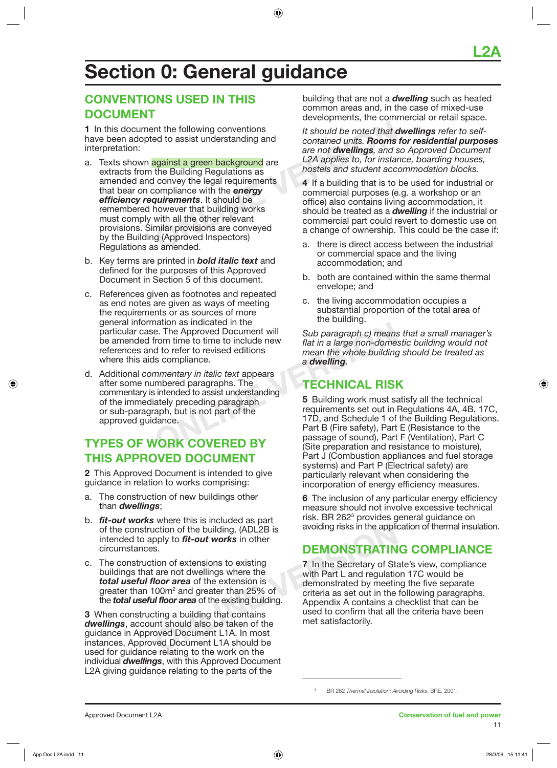# **Section 0: General guidance**

# **CONVENTIONS USED IN THIS DOCUMENT**

**1** In this document the following conventions have been adopted to assist understanding and interpretation:

- **ONLINE VERSION** a. Texts shown against a green background are extracts from the Building Regulations as amended and convey the legal requirements that bear on compliance with the *energy efficiency requirements*. It should be remembered however that building works must comply with all the other relevant provisions. Similar provisions are conveyed by the Building (Approved Inspectors) Regulations as amended.
- b. Key terms are printed in *bold italic text* and defined for the purposes of this Approved Document in Section 5 of this document.
- c. References given as footnotes and repeated as end notes are given as ways of meeting the requirements or as sources of more general information as indicated in the particular case. The Approved Document will be amended from time to time to include new references and to refer to revised editions where this aids compliance.
- From time to time to include new that in a large non-domestic or the sensitive of the state of the to revised editions of the scheme of the simulative of the simulate.<br>
Sub paragraph c) means the whole building a dwelling d. Additional *commentary in italic text* appears after some numbered paragraphs. The commentary is intended to assist understanding of the immediately preceding paragraph or sub-paragraph, but is not part of the approved guidance.

# **TYPES OF WORK COVERED BY THIS APPROVED DOCUMENT**

**2** This Approved Document is intended to give guidance in relation to works comprising:

- a. The construction of new buildings other than *dwellings*;
- b. *fit-out works* where this is included as part of the construction of the building. (ADL2B is intended to apply to *fit-out works* in other circumstances.
- Crition of the building. (ADL2B is<br>
oply to **fit-out works** in other<br>
S.<br>
S.<br>
S.<br>
S.<br>
S.<br>
S.<br>
OLENONSTRATIN<br>
S.<br>
S.<br>
OLENONSTRATIN<br>
S.<br>
OLENONSTRATIN<br>
The Secretary of States of the extension is<br>
Olding the existing buildi c. The construction of extensions to existing buildings that are not dwellings where the *total useful floor area* of the extension is greater than 100m<sup>2</sup> and greater than 25% of the *total useful floor area* of the existing building.

**3** When constructing a building that contains *dwellings*, account should also be taken of the guidance in Approved Document L1A. In most instances, Approved Document L1A should be used for guidance relating to the work on the individual *dwellings*, with this Approved Document L2A giving guidance relating to the parts of the

building that are not a *dwelling* such as heated common areas and, in the case of mixed-use developments, the commercial or retail space.

*It should be noted that dwellings refer to selfcontained units. Rooms for residential purposes are not dwellings, and so Approved Document L2A applies to, for instance, boarding houses, hostels and student accommodation blocks.*

**4** If a building that is to be used for industrial or commercial purposes (e.g. a workshop or an office) also contains living accommodation, it should be treated as a *dwelling* if the industrial or commercial part could revert to domestic use on a change of ownership. This could be the case if:

- a. there is direct access between the industrial or commercial space and the living accommodation; and
- b. both are contained within the same thermal envelope; and
- c. the living accommodation occupies a substantial proportion of the total area of the building.

*Sub paragraph c) means that a small manager's flat in a large non-domestic building would not mean the whole building should be treated as a dwelling.* 

# **TECHNICAL RISK**

**5** Building work must satisfy all the technical requirements set out in Regulations 4A, 4B, 17C, 17D, and Schedule 1 of the Building Regulations. Part B (Fire safety), Part E (Resistance to the passage of sound), Part F (Ventilation), Part C (Site preparation and resistance to moisture), Part J (Combustion appliances and fuel storage systems) and Part P (Electrical safety) are particularly relevant when considering the incorporation of energy efficiency measures.

**6** The inclusion of any particular energy efficiency measure should not involve excessive technical risk. BR 262<sup>5</sup> provides general guidance on avoiding risks in the application of thermal insulation.

# **DEMONSTRATING COMPLIANCE**

**7** In the Secretary of State's view, compliance with Part L and regulation 17C would be demonstrated by meeting the five separate criteria as set out in the following paragraphs. Appendix A contains a checklist that can be used to confirm that all the criteria have been met satisfactorily.

<sup>5</sup> BR 262 *Thermal Insulation: Avoiding Risks*, BRE, 2001.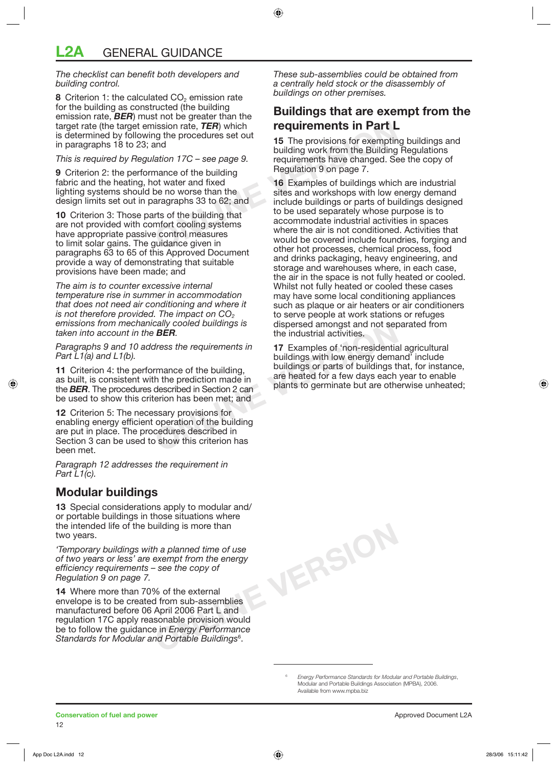*The checklist can benefit both developers and building control.*

**8** Criterion 1: the calculated CO<sub>2</sub> emission rate for the building as constructed (the building emission rate, *BER*) must not be greater than the target rate (the target emission rate, *TER*) which is determined by following the procedures set out in paragraphs 18 to 23; and

*This is required by Regulation 17C – see page 9.*

**9** Criterion 2: the performance of the building fabric and the heating, hot water and fixed lighting systems should be no worse than the design limits set out in paragraphs 33 to 62; and

**10** Criterion 3: Those parts of the building that are not provided with comfort cooling systems have appropriate passive control measures to limit solar gains. The guidance given in paragraphs 63 to 65 of this Approved Document provide a way of demonstrating that suitable provisions have been made; and

*The aim is to counter excessive internal temperature rise in summer in accommodation that does not need air conditioning and where it is not therefore provided. The impact on CO<sub>2</sub> emissions from mechanically cooled buildings is taken into account in the BER.*

*Paragraphs 9 and 10 address the requirements in Part L1(a) and L1(b).*

**11** Criterion 4: the performance of the building, as built, is consistent with the prediction made in the *BER*. The procedures described in Section 2 can be used to show this criterion has been met; and

**12** Criterion 5: The necessary provisions for enabling energy efficient operation of the building are put in place. The procedures described in Section 3 can be used to show this criterion has been met.

*Paragraph 12 addresses the requirement in Part L1(c).*

# **Modular buildings**

**13** Special considerations apply to modular and/ or portable buildings in those situations where the intended life of the building is more than two years.

*'Temporary buildings with a planned time of use of two years or less' are exempt from the energy efficiency requirements – see the copy of Regulation 9 on page 7.*

**14** Where more than 70% of the external envelope is to be created from sub-assemblies manufactured before 06 April 2006 Part L and regulation 17C apply reasonable provision would be to follow the guidance in *Energy Performance Standards for Modular and Portable Buildings*<sup>6</sup> .

*These sub-assemblies could be obtained from a centrally held stock or the disassembly of buildings on other premises.*

### **Buildings that are exempt from the requirements in Part L**

**15** The provisions for exempting buildings and building work from the Building Regulations requirements have changed. See the copy of Regulation 9 on page 7.

ission rate, **TER**) which<br>
the procedures set out<br>
and<br>
lation 17C – see page 9.<br>
mance of the building<br>
on twater and fixed<br>
be no worse than the<br>
aragraphs 33 to 62; and<br>
the building that<br>
to be used separately whose pu **16** Examples of buildings which are industrial sites and workshops with low energy demand include buildings or parts of buildings designed to be used separately whose purpose is to accommodate industrial activities in spaces where the air is not conditioned. Activities that would be covered include foundries, forging and other hot processes, chemical process, food and drinks packaging, heavy engineering, and storage and warehouses where, in each case, the air in the space is not fully heated or cooled. Whilst not fully heated or cooled these cases may have some local conditioning appliances such as plaque or air heaters or air conditioners to serve people at work stations or refuges dispersed amongst and not separated from the industrial activities.

Cally cooled buildings is<br>
dispersed amongst and not sep<br>
the industrial activities.<br>
In the sequirements in<br>
the industrial activities.<br>
The industrial activities.<br>
Examples of 'non-residential<br>
to we energy demands to th **17** Examples of 'non-residential agricultural buildings with low energy demand' include buildings or parts of buildings that, for instance, are heated for a few days each year to enable plants to germinate but are otherwise unheated;

*Energy Performance Standards for Modular and Portable Buildings*, Modular and Portable Buildings Association (MPBA), 2006. Available from www.mpba.biz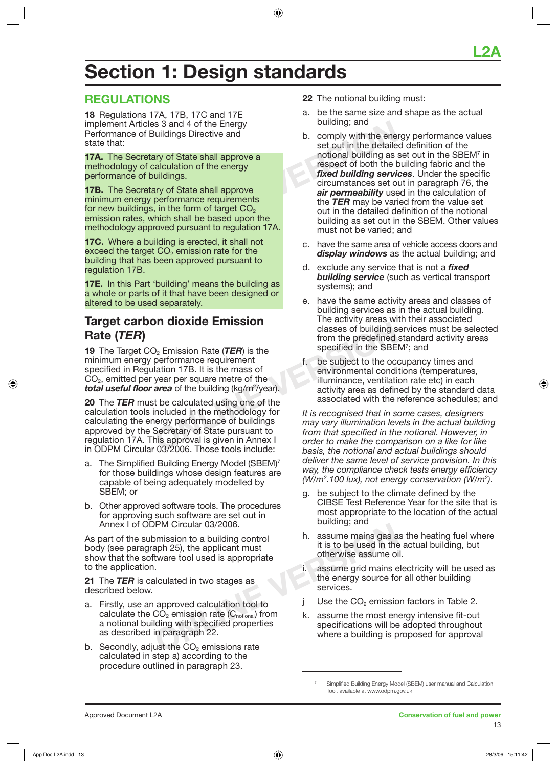# **Section 1: Design standards**

# **REGULATIONS**

**18** Regulations 17A, 17B, 17C and 17E implement Articles 3 and 4 of the Energy Performance of Buildings Directive and state that:

**17A.** The Secretary of State shall approve a methodology of calculation of the energy performance of buildings.

**17B.** The Secretary of State shall approve minimum energy performance requirements for new buildings, in the form of target  $CO<sub>2</sub>$ emission rates, which shall be based upon the methodology approved pursuant to regulation 17A.

**17C.** Where a building is erected, it shall not exceed the target  $CO<sub>2</sub>$  emission rate for the building that has been approved pursuant to regulation 17B.

**17E.** In this Part 'building' means the building as a whole or parts of it that have been designed or altered to be used separately.

# **Target carbon dioxide Emission Rate (***TER***)**

**19** The Target CO<sub>2</sub> Emission Rate (**TER**) is the minimum energy performance requirement specified in Regulation 17B. It is the mass of  $CO<sub>2</sub>$ , emitted per year per square metre of the **total useful floor area** of the building (kg/m<sup>2</sup>/year).

**PHI CHANCE ETHISSION**<br>
Classes of building s<br>
D<sub>2</sub> Emission Rate (TER) is the<br>
performance requirement<br>
lation 17B. It is the mass of<br>
year per square metre of the<br>
area of the building (kg/m<sup>2</sup>/year).<br>
t be calculated us **20** The *TER* must be calculated using one of the calculation tools included in the methodology for calculating the energy performance of buildings approved by the Secretary of State pursuant to regulation 17A. This approval is given in Annex I in ODPM Circular 03/2006. Those tools include:

- a. The Simplified Building Energy Model (SBEM)<sup>7</sup> for those buildings whose design features are capable of being adequately modelled by SBEM; or
- b. Other approved software tools. The procedures for approving such software are set out in Annex I of ODPM Circular 03/2006.

As part of the submission to a building control body (see paragraph 25), the applicant must show that the software tool used is appropriate to the application.

**21** The *TER* is calculated in two stages as described below.

- **ONLINE ONLY 1997**<br>
Dended in the applicant must<br>
and 25), the applicant must<br>
in assume mains gas a<br>
divided in two stages as<br>
alculated in two stages as<br>
approved calculation tool to<br>  $CO_2$  emission rate ( $C_{\text{notional}}$ ) fro a. Firstly, use an approved calculation tool to calculate the  $CO<sub>2</sub>$  emission rate ( $C<sub>notional</sub>$ ) from a notional building with specified properties as described in paragraph 22.
- b. Secondly, adjust the  $CO<sub>2</sub>$  emissions rate calculated in step a) according to the procedure outlined in paragraph 23.
- **22** The notional building must:
- a. be the same size and shape as the actual building; and
- Solution Solution Solution Solution Solution Solution Solution Solution Solution Solution Solution of the energy<br>
and the set out in the detaile<br>
any of State shall approve<br>
any of State shall approve<br>
ary of State shall a b. comply with the energy performance values set out in the detailed definition of the notional building as set out in the SBEM<sup>7</sup> in respect of both the building fabric and the *fixed building services*. Under the specific circumstances set out in paragraph 76, the *air permeability* used in the calculation of the *TER* may be varied from the value set out in the detailed definition of the notional building as set out in the SBEM. Other values must not be varied; and
	- c. have the same area of vehicle access doors and *display windows* as the actual building; and
	- d. exclude any service that is not a *fixed building service* (such as vertical transport systems); and
	- e. have the same activity areas and classes of building services as in the actual building. The activity areas with their associated classes of building services must be selected from the predefined standard activity areas specified in the SBEM<sup>7</sup>; and
	- be subject to the occupancy times and environmental conditions (temperatures, illuminance, ventilation rate etc) in each activity area as defined by the standard data associated with the reference schedules; and

*It is recognised that in some cases, designers may vary illumination levels in the actual building from that specified in the notional. However, in order to make the comparison on a like for like basis, the notional and actual buildings should deliver the same level of service provision. In this way, the compliance check tests energy efficiency (W/m2 .100 lux), not energy conservation (W/m2 ).*

- be subject to the climate defined by the CIBSE Test Reference Year for the site that is most appropriate to the location of the actual building; and
- h. assume mains gas as the heating fuel where it is to be used in the actual building, but otherwise assume oil.
- i. assume grid mains electricity will be used as the energy source for all other building services.
- j Use the  $CO<sub>2</sub>$  emission factors in Table 2.
- k. assume the most energy intensive fit-out specifications will be adopted throughout where a building is proposed for approval

7

Simplified Building Energy Model (SBEM) user manual and Calculation Tool, available at www.odpm.gov.uk.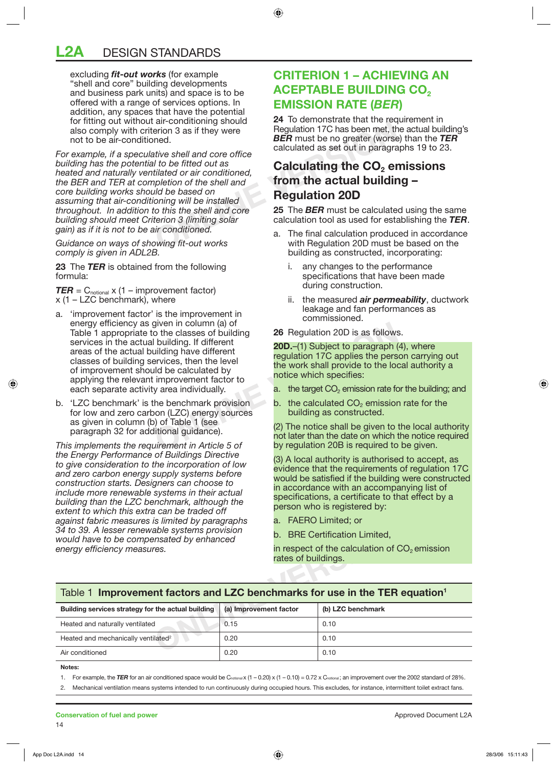# **L2A** DESIGN STANDARDS

 excluding *fit-out works* (for example "shell and core" building developments and business park units) and space is to be offered with a range of services options. In addition, any spaces that have the potential for fitting out without air-conditioning should also comply with criterion 3 as if they were not to be air-conditioned.

an-conditioning should<br>
erion 3 as if they were<br>
ned.<br> *ONLINER* must be no greater (worse<br>
trive shell and core office<br>
<br> *I* to be fitted out as<br>
tilated or air conditioned,<br>
ppletion of the shell and<br>
ind be based on<br>
o *For example, if a speculative shell and core office building has the potential to be fitted out as heated and naturally ventilated or air conditioned, the BER and TER at completion of the shell and core building works should be based on assuming that air-conditioning will be installed throughout. In addition to this the shell and core building should meet Criterion 3 (limiting solar gain) as if it is not to be air conditioned.*

*Guidance on ways of showing fit-out works comply is given in ADL2B.*

**23** The *TER* is obtained from the following formula:

 $$  $x$  (1 – LZC benchmark), where

- given in column (a) of<br>
o the classes of building<br>
building. If different<br>
ilding have different<br>
ilding have different<br>
regulation 17C applies the pers<br>
the work shall provide to the loc-<br>
ild be calculated by<br>
improveme a. 'improvement factor' is the improvement in energy efficiency as given in column (a) of Table 1 appropriate to the classes of building services in the actual building. If different areas of the actual building have different classes of building services, then the level of improvement should be calculated by applying the relevant improvement factor to each separate activity area individually.
- b. 'LZC benchmark' is the benchmark provision for low and zero carbon (LZC) energy sources as given in column (b) of Table 1 (see paragraph 32 for additional guidance).

*This implements the requirement in Article 5 of the Energy Performance of Buildings Directive to give consideration to the incorporation of low and zero carbon energy supply systems before construction starts. Designers can choose to include more renewable systems in their actual building than the LZC benchmark, although the extent to which this extra can be traded off against fabric measures is limited by paragraphs 34 to 39. A lesser renewable systems provision would have to be compensated by enhanced energy efficiency measures.*

## **CRITERION 1 – ACHIEVING AN ACEPTABLE BUILDING CO<sub>2</sub> EMISSION RATE (***BER***)**

**24** To demonstrate that the requirement in Regulation 17C has been met, the actual building's *BER* must be no greater (worse) than the *TER* calculated as set out in paragraphs 19 to 23.

## **Calculating the CO<sub>2</sub> emissions from the actual building – Regulation 20D**

**25** The *BER* must be calculated using the same calculation tool as used for establishing the *TER*.

- The final calculation produced in accordance with Regulation 20D must be based on the building as constructed, incorporating:
	- i. any changes to the performance specifications that have been made during construction.
	- ii. the measured *air permeability*, ductwork leakage and fan performances as commissioned.
- **26** Regulation 20D is as follows.

**20D.**–(1) Subject to paragraph (4), where regulation 17C applies the person carrying out the work shall provide to the local authority a notice which specifies:

- a. the target  $CO<sub>2</sub>$  emission rate for the building; and
- b. the calculated  $CO<sub>2</sub>$  emission rate for the building as constructed.

(2) The notice shall be given to the local authority not later than the date on which the notice required by regulation 20B is required to be given.

(3) A local authority is authorised to accept, as evidence that the requirements of regulation 17C would be satisfied if the building were constructed in accordance with an accompanying list of specifications, a certificate to that effect by a person who is registered by:

- a. FAERO Limited; or
- b. BRE Certification Limited,

### Table 1 **Improvement factors and LZC benchmarks for use in the TER equation<sup>1</sup>**

| agamot rabho moacarco io immtou by paragrapho<br>34 to 39. A lesser renewable systems provision<br>would have to be compensated by enhanced<br>energy efficiency measures. | ~~~~~~~~~~~~~~~~~~~~<br>rates of buildings. | b. BRE Certification Limited,<br>in respect of the calculation of $CO2$ emission |  |  |  |
|----------------------------------------------------------------------------------------------------------------------------------------------------------------------------|---------------------------------------------|----------------------------------------------------------------------------------|--|--|--|
| Table 1 Improvement factors and LZC benchmarks for use in the TER equation <sup>1</sup>                                                                                    |                                             |                                                                                  |  |  |  |
| Building services strategy for the actual building                                                                                                                         | (a) Improvement factor                      | (b) LZC benchmark                                                                |  |  |  |
| Heated and naturally ventilated                                                                                                                                            | 0.15                                        | 0.10                                                                             |  |  |  |
| Heated and mechanically ventilated <sup>2</sup>                                                                                                                            | 0.20                                        | 0.10                                                                             |  |  |  |
| Air conditioned                                                                                                                                                            | 0.20                                        | 0.10                                                                             |  |  |  |

#### **Notes:**

1. For example, the **TER** for an air conditioned space would be C<sub>notional</sub> x  $(1 - 0.20) \times (1 - 0.10) = 0.72 \times C_{\text{notional}}$ ; an improvement over the 2002 standard of 28%.

2. Mechanical ventilation means systems intended to run continuously during occupied hours. This excludes, for instance, intermittent toilet extract fans.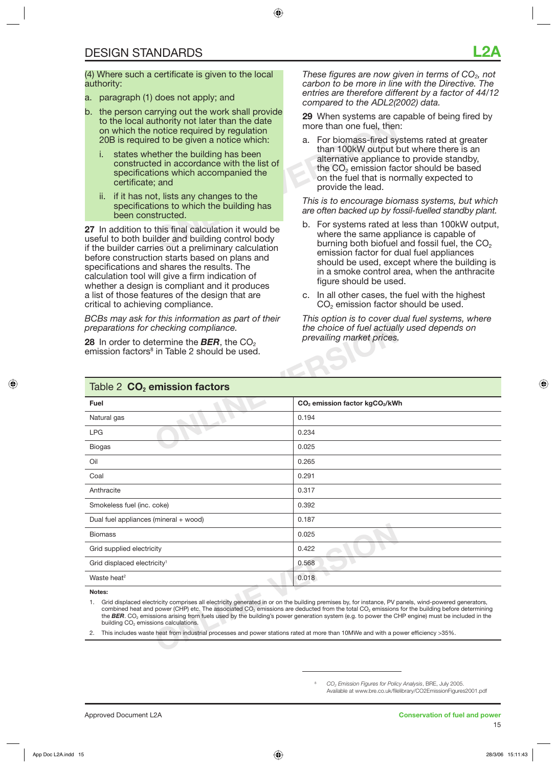(4) Where such a certificate is given to the local authority:

- a. paragraph (1) does not apply; and
- b. the person carrying out the work shall provide to the local authority not later than the date on which the notice required by regulation 20B is required to be given a notice which:
	- i. states whether the building has been constructed in accordance with the list of specifications which accompanied the certificate; and
	- ii. if it has not, lists any changes to the specifications to which the building has been constructed.

**27** In addition to this final calculation it would be useful to both builder and building control body if the builder carries out a preliminary calculation before construction starts based on plans and specifications and shares the results. The calculation tool will give a firm indication of whether a design is compliant and it produces a list of those features of the design that are critical to achieving compliance.

*BCBs may ask for this information as part of their preparations for checking compliance.*

*These figures are now given in terms of CO2, not carbon to be more in line with the Directive. The entries are therefore different by a factor of 44/12 compared to the ADL2(2002) data.*

**29** When systems are capable of being fired by more than one fuel, then:

DEVIDENTIFY NOT DURINT THE CONDITIONS INCREDIBN THE CONDITIONS OF THE POST OF THE PUBLICITY OF THE PUBLICITY OF THE PUBLICITY OF THE PUBLICITY OF THE PUBLICITY OF THE PUBLICITY OF THE PUBLICITY OF THE PUBLICITY OF THE PUBL a. For biomass-fired systems rated at greater than 100kW output but where there is an alternative appliance to provide standby, the CO<sub>2</sub> emission factor should be based on the fuel that is normally expected to provide the lead.

*This is to encourage biomass systems, but which are often backed up by fossil-fuelled standby plant.*

- b. For systems rated at less than 100kW output, where the same appliance is capable of burning both biofuel and fossil fuel, the  $CO<sub>2</sub>$ emission factor for dual fuel appliances should be used, except where the building is in a smoke control area, when the anthracite figure should be used.
- c. In all other cases, the fuel with the highest CO<sub>2</sub> emission factor should be used.

*This option is to cover dual fuel systems, where the choice of fuel actually used depends on prevailing market prices.*

| preparations for checking compliance.<br>28 In order to determine the <b>BER</b> , the CO <sub>2</sub><br>emission factors <sup>8</sup> in Table 2 should be used. | the choice of fuel actually used depends on<br>prevailing market prices.                                                                                                                                                                                                                                                                                                                                                                                                                    |  |  |
|--------------------------------------------------------------------------------------------------------------------------------------------------------------------|---------------------------------------------------------------------------------------------------------------------------------------------------------------------------------------------------------------------------------------------------------------------------------------------------------------------------------------------------------------------------------------------------------------------------------------------------------------------------------------------|--|--|
| Table 2 $CO2$ emission factors                                                                                                                                     |                                                                                                                                                                                                                                                                                                                                                                                                                                                                                             |  |  |
| Fuel                                                                                                                                                               | CO <sub>2</sub> emission factor kgCO <sub>2</sub> /kWh                                                                                                                                                                                                                                                                                                                                                                                                                                      |  |  |
| Natural gas                                                                                                                                                        | 0.194                                                                                                                                                                                                                                                                                                                                                                                                                                                                                       |  |  |
| <b>LPG</b>                                                                                                                                                         | 0.234                                                                                                                                                                                                                                                                                                                                                                                                                                                                                       |  |  |
| <b>Biogas</b>                                                                                                                                                      | 0.025                                                                                                                                                                                                                                                                                                                                                                                                                                                                                       |  |  |
| Oil                                                                                                                                                                | 0.265                                                                                                                                                                                                                                                                                                                                                                                                                                                                                       |  |  |
| Coal                                                                                                                                                               | 0.291                                                                                                                                                                                                                                                                                                                                                                                                                                                                                       |  |  |
| Anthracite                                                                                                                                                         | 0.317                                                                                                                                                                                                                                                                                                                                                                                                                                                                                       |  |  |
| Smokeless fuel (inc. coke)                                                                                                                                         | 0.392                                                                                                                                                                                                                                                                                                                                                                                                                                                                                       |  |  |
| Dual fuel appliances (mineral + wood)                                                                                                                              | 0.187                                                                                                                                                                                                                                                                                                                                                                                                                                                                                       |  |  |
| <b>Biomass</b>                                                                                                                                                     | 0.025                                                                                                                                                                                                                                                                                                                                                                                                                                                                                       |  |  |
| Grid supplied electricity                                                                                                                                          | 0.422                                                                                                                                                                                                                                                                                                                                                                                                                                                                                       |  |  |
| Grid displaced electricity <sup>1</sup>                                                                                                                            | 0.568                                                                                                                                                                                                                                                                                                                                                                                                                                                                                       |  |  |
| Waste heat <sup>2</sup>                                                                                                                                            | 0.018                                                                                                                                                                                                                                                                                                                                                                                                                                                                                       |  |  |
| Notes:                                                                                                                                                             |                                                                                                                                                                                                                                                                                                                                                                                                                                                                                             |  |  |
| 1.<br>building CO <sub>2</sub> emissions calculations.                                                                                                             | Grid displaced electricity comprises all electricity generated in or on the building premises by, for instance, PV panels, wind-powered generators,<br>combined heat and power (CHP) etc. The associated CO <sub>2</sub> emissions are deducted from the total CO <sub>2</sub> emissions for the building before determining<br>the BER. CO <sub>2</sub> emissions arising from fuels used by the building's power generation system (e.g. to power the CHP engine) must be included in the |  |  |
| 2.                                                                                                                                                                 | This includes waste heat from industrial processes and power stations rated at more than 10MWe and with a power efficiency >35%.                                                                                                                                                                                                                                                                                                                                                            |  |  |
|                                                                                                                                                                    |                                                                                                                                                                                                                                                                                                                                                                                                                                                                                             |  |  |

<sup>8</sup> *CO2 Emission Figures for Policy Analysis*, BRE, July 2005. Available at www.bre.co.uk/filelibrary/CO2EmissionFigures2001.pdf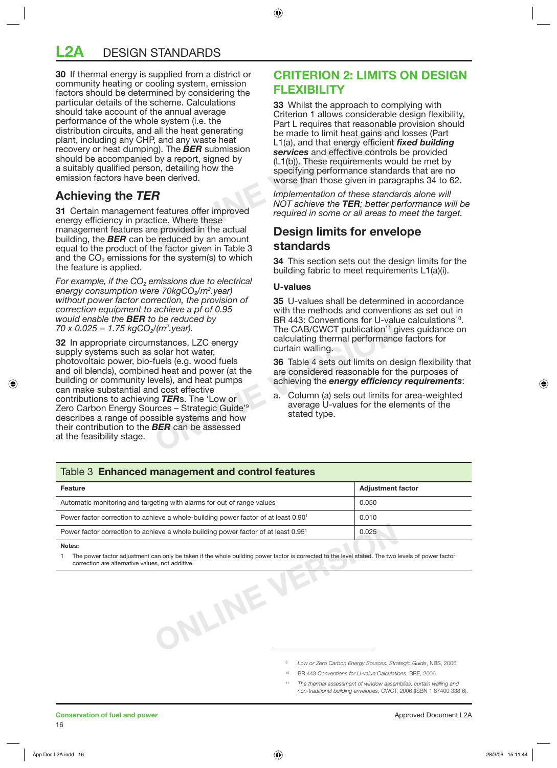# **L2A** DESIGN STANDARDS

**30** If thermal energy is supplied from a district or community heating or cooling system, emission factors should be determined by considering the particular details of the scheme. Calculations should take account of the annual average performance of the whole system (i.e. the distribution circuits, and all the heat generating plant, including any CHP, and any waste heat recovery or heat dumping). The *BER* submission should be accompanied by a report, signed by a suitably qualified person, detailing how the emission factors have been derived.

# **Achieving the** *TER*

**31** Certain management features offer improved energy efficiency in practice. Where these management features are provided in the actual building, the *BER* can be reduced by an amount equal to the product of the factor given in Table 3 and the  $CO<sub>2</sub>$  emissions for the system(s) to which the feature is applied.

*For example, if the CO<sub>2</sub> emissions due to electrical* energy consumption were 70kgCO<sub>2</sub>/m<sup>2</sup>.year) *without power factor correction, the provision of correction equipment to achieve a pf of 0.95 would enable the BER to be reduced by 70 x 0.025 = 1.75 kgCO2/(m2 .year).* 

V(m<sup>2</sup>.year).<br>
The CAB/CWCT publication<sup>11</sup> g<br>
stances, LZC energy<br>
solar hot water,<br>
fuels (e.g. wood fuels<br>
d heat and power (at the<br>
vels), and heat pumps<br>
d cost effective<br>
g TERs. The 'Low or<br>
a. Column (a) sets out l **32** In appropriate circumstances, LZC energy supply systems such as solar hot water, photovoltaic power, bio-fuels (e.g. wood fuels and oil blends), combined heat and power (at the building or community levels), and heat pumps can make substantial and cost effective contributions to achieving *TER*s. The 'Low or Zero Carbon Energy Sources – Strategic Guide'9 describes a range of possible systems and how their contribution to the *BER* can be assessed at the feasibility stage.

# **CRITERION 2: LIMITS ON DESIGN FLEXIBILITY**

Example and the heat generating<br>
and any waste heat<br>
(a), and that energy efficient<br>
(a). The **BER** submission<br>
by a report, signed by<br>
(b)). These requirements wou<br>
specifying performance standa<br>
worse than those given in **33** Whilst the approach to complying with Criterion 1 allows considerable design flexibility, Part L requires that reasonable provision should be made to limit heat gains and losses (Part L1(a), and that energy efficient *fixed building services* and effective controls be provided (L1(b)). These requirements would be met by specifying performance standards that are no worse than those given in paragraphs 34 to 62.

*Implementation of these standards alone will NOT achieve the TER; better performance will be required in some or all areas to meet the target.* 

### **Design limits for envelope standards**

**34** This section sets out the design limits for the building fabric to meet requirements L1(a)(i).

#### **U-values**

**35** U-values shall be determined in accordance with the methods and conventions as set out in BR 443: Conventions for U-value calculations<sup>10</sup>. The CAB/CWCT publication<sup>11</sup> gives guidance on calculating thermal performance factors for curtain walling.

**36** Table 4 sets out limits on design flexibility that are considered reasonable for the purposes of achieving the *energy efficiency requirements*:

a. Column (a) sets out limits for area-weighted average U-values for the elements of the stated type.

#### Table 3 **Enhanced management and control features**

| Feature                                                                                        | <b>Adjustment factor</b> |
|------------------------------------------------------------------------------------------------|--------------------------|
| Automatic monitoring and targeting with alarms for out of range values                         | 0.050                    |
| Power factor correction to achieve a whole-building power factor of at least 0.90 <sup>1</sup> | 0.010                    |
| Power factor correction to achieve a whole building power factor of at least 0.95 <sup>1</sup> | 0.025                    |

#### **Notes:**

an only be taken if the whole building power factor is corrected to the level stated. The s, not additive. The power factor adjustment can only be taken if the whole building power factor is corrected to the level stated. The two levels of power factor correction are alternative values, not additive.

<sup>9</sup> *Low or Zero Carbon Energy Sources: Strategic Guide*, NBS, 2006.

<sup>10</sup> BR 443 *Conventions for U-value Calculations*, BRE, 2006.

<sup>11</sup> *The thermal assessment of window assemblies, curtain walling and non-traditional building envelopes*, CWCT, 2006 (ISBN 1 87400 338 6).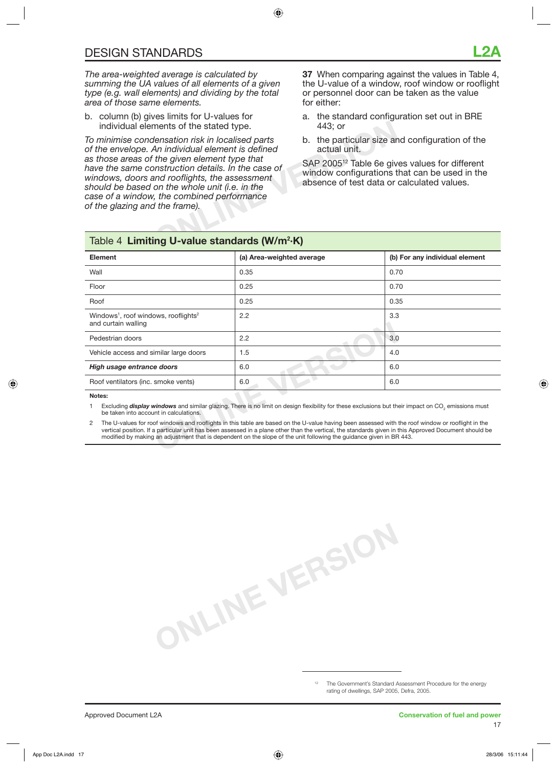# **DESIGN STANDARDS**

b. column (b) gives limits for U-values for individual elements of the stated type.

ments of the stated type. 443; or<br> **Vensation risk in localised parts** b. the particular size are<br>
An individual element is defined that<br>
the given element type that<br>
the given element type that<br>
sAP 2005<sup>12</sup> Table 6e giv<br> *To minimise condensation risk in localised parts of the envelope. An individual element is defined as those areas of the given element type that have the same construction details. In the case of windows, doors and rooflights, the assessment should be based on the whole unit (i.e. in the case of a window, the combined performance of the glazing and the frame).*

**37** When comparing against the values in Table 4, the U-value of a window, roof window or rooflight or personnel door can be taken as the value for either:

- a. the standard configuration set out in BRE 443; or
- b. the particular size and configuration of the actual unit.

SAP 2005<sup>12</sup> Table 6e gives values for different window configurations that can be used in the absence of test data or calculated values.

# Table 4 **Limiting U-value standards (W/m<sup>2</sup> ·K) Element (a) Area-weighted average (b) For any individual element** Wall 0.70 Floor 0.25 0.70

|                                                                                                                                                                                                                                                                                                                                                                                                                                        | Floor                                                                               | 0.25 | 0.70 |  |  |
|----------------------------------------------------------------------------------------------------------------------------------------------------------------------------------------------------------------------------------------------------------------------------------------------------------------------------------------------------------------------------------------------------------------------------------------|-------------------------------------------------------------------------------------|------|------|--|--|
| Roof                                                                                                                                                                                                                                                                                                                                                                                                                                   |                                                                                     | 0.25 | 0.35 |  |  |
|                                                                                                                                                                                                                                                                                                                                                                                                                                        | Windows <sup>1</sup> , roof windows, rooflights <sup>2</sup><br>and curtain walling | 2.2  | 3.3  |  |  |
|                                                                                                                                                                                                                                                                                                                                                                                                                                        | Pedestrian doors                                                                    | 2.2  | 3.0  |  |  |
|                                                                                                                                                                                                                                                                                                                                                                                                                                        | Vehicle access and similar large doors                                              | 1.5  | 4.0  |  |  |
| High usage entrance doors                                                                                                                                                                                                                                                                                                                                                                                                              | 6.0                                                                                 |      |      |  |  |
| Roof ventilators (inc. smoke vents)                                                                                                                                                                                                                                                                                                                                                                                                    |                                                                                     | 6.0  | 6.0  |  |  |
|                                                                                                                                                                                                                                                                                                                                                                                                                                        | Notes:                                                                              |      |      |  |  |
| Excluding display windows and similar glazing. There is no limit on design flexibility for these exclusions but their impact on CO <sub>2</sub> emissions must<br>be taken into account in calculations.                                                                                                                                                                                                                               |                                                                                     |      |      |  |  |
| The U-values for roof windows and rooflights in this table are based on the U-value having been assessed with the roof window or rooflight in the<br>2<br>vertical position. If a particular unit has been assessed in a plane other than the vertical, the standards given in this Approved Document should be<br>modified by making an adjustment that is dependent on the slope of the unit following the quidance given in BR 443. |                                                                                     |      |      |  |  |
|                                                                                                                                                                                                                                                                                                                                                                                                                                        |                                                                                     |      |      |  |  |

**ONLINE VERSION**

The Government's Standard Assessment Procedure for the energy rating of dwellings, SAP 2005, Defra, 2005.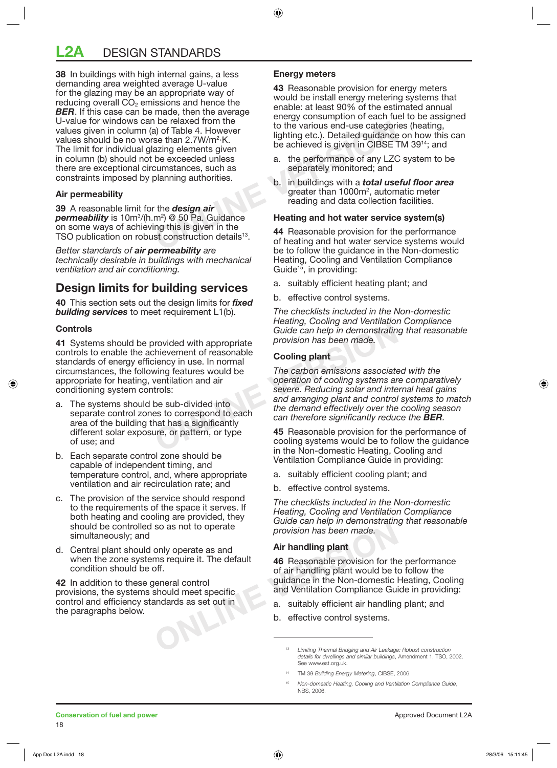# **L2A** DESIGN STANDARDS

The France of any LZC<br>
and a of Table 4. However<br>
se than 2.7W/m<sup>2</sup>·K.<br>
azing elements given<br>
be achieved is given in CIBSE<br>
be exceeded unless<br>
a. the performance of any LZC<br>
separately monitored; and<br>
b. in buildings wi **38** In buildings with high internal gains, a less demanding area weighted average U-value for the glazing may be an appropriate way of reducing overall  $CO<sub>2</sub>$  emissions and hence the **BER**. If this case can be made, then the average U-value for windows can be relaxed from the values given in column (a) of Table 4. However values should be no worse than 2.7W/m<sup>2.</sup>K. The limit for individual glazing elements given in column (b) should not be exceeded unless there are exceptional circumstances, such as constraints imposed by planning authorities.

#### **Air permeability**

**39** A reasonable limit for the *design air permeability* is 10m3 /(h.m2 ) @ 50 Pa. Guidance on some ways of achieving this is given in the TSO publication on robust construction details<sup>13</sup>.

*Better standards of air permeability are technically desirable in buildings with mechanical ventilation and air conditioning.* 

# **Design limits for building services**

**40** This section sets out the design limits for *fixed* **building services** to meet requirement L1(b).

#### **Controls**

**41** Systems should be provided with appropriate controls to enable the achievement of reasonable standards of energy efficiency in use. In normal circumstances, the following features would be appropriate for heating, ventilation and air conditioning system controls:

- a. The systems should be sub-divided into separate control zones to correspond to each area of the building that has a significantly different solar exposure, or pattern, or type of use; and
- b. Each separate control zone should be capable of independent timing, and temperature control, and, where appropriate ventilation and air recirculation rate; and
- c. The provision of the service should respond to the requirements of the space it serves. If both heating and cooling are provided, they should be controlled so as not to operate simultaneously; and
- d. Central plant should only operate as and when the zone systems require it. The default condition should be off.

**42** In addition to these general control provisions, the systems should meet specific control and efficiency standards as set out in the paragraphs below.

#### **Energy meters**

**43** Reasonable provision for energy meters would be install energy metering systems that enable: at least 90% of the estimated annual energy consumption of each fuel to be assigned to the various end-use categories (heating, lighting etc.). Detailed guidance on how this can be achieved is given in CIBSE TM 39<sup>14</sup>; and

- a. the performance of any LZC system to be separately monitored; and
- b. in buildings with a *total useful floor area* greater than 1000m<sup>2</sup>, automatic meter reading and data collection facilities.

#### **Heating and hot water service system(s)**

**44** Reasonable provision for the performance of heating and hot water service systems would be to follow the guidance in the Non-domestic Heating, Cooling and Ventilation Compliance Guide<sup>15</sup>, in providing:

- a. suitably efficient heating plant; and
- b. effective control systems.

*The checklists included in the Non-domestic Heating, Cooling and Ventilation Compliance Guide can help in demonstrating that reasonable provision has been made.*

#### **Cooling plant**

Freaming, cooling and ventilation<br>
rovided with appropriate<br>
iency in use. In normal<br>
iency in use. In normal<br>
ving features would be<br> **Cooling plant**<br>
The carbon emissions associate<br>
ventilation and air<br>
versitians are ve *The carbon emissions associated with the operation of cooling systems are comparatively severe. Reducing solar and internal heat gains and arranging plant and control systems to match the demand effectively over the cooling season can therefore significantly reduce the BER.*

**45** Reasonable provision for the performance of cooling systems would be to follow the guidance in the Non-domestic Heating, Cooling and Ventilation Compliance Guide in providing:

- a. suitably efficient cooling plant; and
- b. effective control systems.

*The checklists included in the Non-domestic Heating, Cooling and Ventilation Compliance Guide can help in demonstrating that reasonable provision has been made.* 

#### **Air handling plant**

so as not to operate<br>
provision has been made.<br>
only operate as and<br>
ms require it. The default<br>
of air handling plant<br>
of air handling plant<br>
of air handling plant<br>
would be the section<br>
of air handling plant<br>
would be th **46** Reasonable provision for the performance of air handling plant would be to follow the guidance in the Non-domestic Heating, Cooling and Ventilation Compliance Guide in providing:

- a. suitably efficient air handling plant; and
- b. effective control systems.

14 TM 39 *Building Energy Metering*, CIBSE, 2006.

<sup>13</sup> *Limiting Thermal Bridging and Air Leakage: Robust construction details for dwellings and similar buildings*, Amendment 1, TSO, 2002. See www.est.org.uk.

<sup>15</sup> *Non-domestic Heating, Cooling and Ventilation Compliance Guide*, NBS, 2006.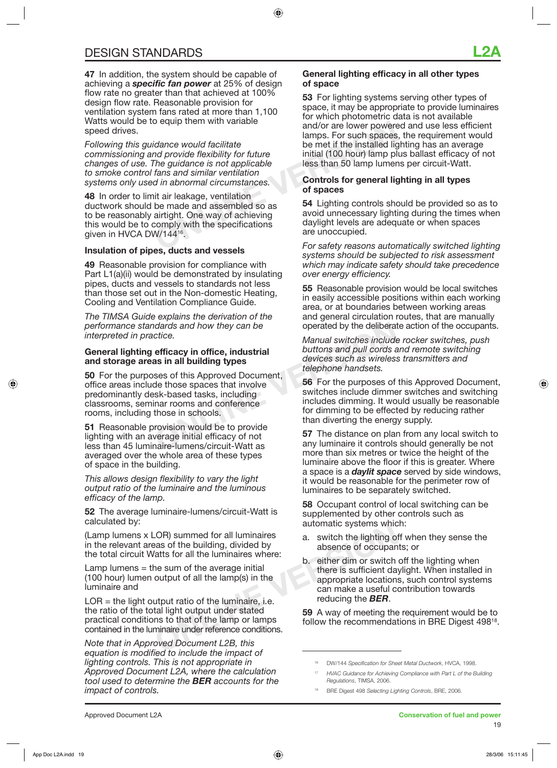**47** In addition, the system should be capable of achieving a *specific fan power* at 25% of design flow rate no greater than that achieved at 100% design flow rate. Reasonable provision for ventilation system fans rated at more than 1,100 Watts would be to equip them with variable speed drives.

*Following this guidance would facilitate commissioning and provide flexibility for future changes of use. The guidance is not applicable to smoke control fans and similar ventilation systems only used in abnormal circumstances.*

Computer of the state of the state of the state of the state of the state of the state of the state of the state of the state of the state of the state of the state of the state of the state of the state of the state of th **48** In order to limit air leakage, ventilation ductwork should be made and assembled so as to be reasonably airtight. One way of achieving this would be to comply with the specifications given in HVCA DW/14416.

#### **Insulation of pipes, ducts and vessels**

**49** Reasonable provision for compliance with Part L1(a)(ii) would be demonstrated by insulating pipes, ducts and vessels to standards not less than those set out in the Non-domestic Heating, Cooling and Ventilation Compliance Guide.

*The TIMSA Guide explains the derivation of the performance standards and how they can be interpreted in practice.*

#### **General lighting efficacy in office, industrial and storage areas in all building types**

dards and how they can be<br>
operated by the deliberat<br>
ctice.<br> **CONLINE CONCY INTERENT CONCERN SET MANUAL SWITCHS AND SAMULAT CONTAST AND THE SET OF THE PHONE AND SET ON SK-based tasks, including<br>
telephone handsets.<br>
SE Fo 50** For the purposes of this Approved Document, office areas include those spaces that involve predominantly desk-based tasks, including classrooms, seminar rooms and conference rooms, including those in schools.

**51** Reasonable provision would be to provide lighting with an average initial efficacy of not less than 45 luminaire-lumens/circuit-Watt as averaged over the whole area of these types of space in the building.

*This allows design flexibility to vary the light output ratio of the luminaire and the luminous efficacy of the lamp.*

**52** The average luminaire-lumens/circuit-Watt is calculated by:

(Lamp lumens x LOR) summed for all luminaires in the relevant areas of the building, divided by the total circuit Watts for all the luminaires where:

Lamp lumens  $=$  the sum of the average initial (100 hour) lumen output of all the lamp(s) in the luminaire and

COR) summed for all luminaires<br>
a. switch the lighting of<br>
latts for all the luminaires where:<br>
The sum of the average initial<br>
output of all the lamp(s) in the<br>
there is sufficient da<br>
appropriate location:<br>
can make a us  $LOR =$  the light output ratio of the luminaire, i.e. the ratio of the total light output under stated practical conditions to that of the lamp or lamps contained in the luminaire under reference conditions.

*Note that in Approved Document L2B, this equation is modified to include the impact of lighting controls. This is not appropriate in Approved Document L2A, where the calculation tool used to determine the BER accounts for the impact of controls.*

#### **General lighting efficacy in all other types of space**

**53** For lighting systems serving other types of space, it may be appropriate to provide luminaires for which photometric data is not available and/or are lower powered and use less efficient lamps. For such spaces, the requirement would be met if the installed lighting has an average initial (100 hour) lamp plus ballast efficacy of not less than 50 lamp lumens per circuit-Watt.

#### **Controls for general lighting in all types of spaces**

**54** Lighting controls should be provided so as to avoid unnecessary lighting during the times when daylight levels are adequate or when spaces are unoccupied.

*For safety reasons automatically switched lighting systems should be subjected to risk assessment which may indicate safety should take precedence over energy efficiency.*

**55** Reasonable provision would be local switches in easily accessible positions within each working area, or at boundaries between working areas and general circulation routes, that are manually operated by the deliberate action of the occupants.

*Manual switches include rocker switches, push buttons and pull cords and remote switching devices such as wireless transmitters and telephone handsets.*

**56** For the purposes of this Approved Document, switches include dimmer switches and switching includes dimming. It would usually be reasonable for dimming to be effected by reducing rather than diverting the energy supply.

**57** The distance on plan from any local switch to any luminaire it controls should generally be not more than six metres or twice the height of the luminaire above the floor if this is greater. Where a space is a *daylit space* served by side windows, it would be reasonable for the perimeter row of luminaires to be separately switched.

**58** Occupant control of local switching can be supplemented by other controls such as automatic systems which:

- a. switch the lighting off when they sense the absence of occupants; or
- b. either dim or switch off the lighting when there is sufficient daylight. When installed in appropriate locations, such control systems can make a useful contribution towards reducing the *BER*.

**59** A way of meeting the requirement would be to follow the recommendations in BRE Digest 498<sup>18</sup>.

DW/144 Specification for Sheet Metal Ductwork, HVCA, 1998.

<sup>17</sup> *HVAC Guidance for Achieving Compliance with Part L of the Building Regulations*, TIMSA, 2006.

<sup>18</sup> BRE Digest 498 *Selecting Lighting Controls*, BRE, 2006.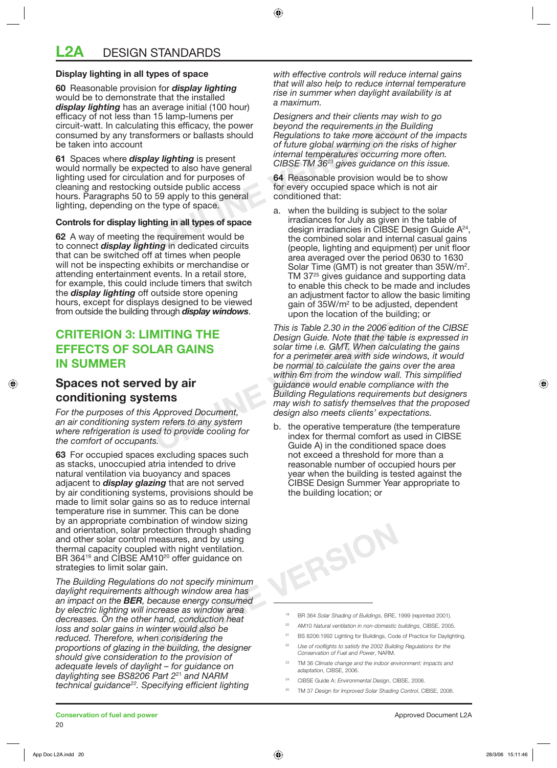#### **Display lighting in all types of space**

**60** Reasonable provision for *display lighting* would be to demonstrate that the installed *display lighting* has an average initial (100 hour) efficacy of not less than 15 lamp-lumens per circuit-watt. In calculating this efficacy, the power consumed by any transformers or ballasts should be taken into account

**61** Spaces where *display lighting* is present would normally be expected to also have general lighting used for circulation and for purposes of cleaning and restocking outside public access hours. Paragraphs 50 to 59 apply to this general lighting, depending on the type of space.

#### **Controls for display lighting in all types of space**

**62** A way of meeting the requirement would be to connect *display lighting* in dedicated circuits that can be switched off at times when people will not be inspecting exhibits or merchandise or attending entertainment events. In a retail store, for example, this could include timers that switch the *display lighting* off outside store opening hours, except for displays designed to be viewed from outside the building through *display windows*.

## **CRITERION 3: LIMITING THE EFFECTS OF SOLAR GAINS IN SUMMER**

## **Spaces not served by air conditioning systems**

*For the purposes of this Approved Document, an air conditioning system refers to any system where refrigeration is used to provide cooling for the comfort of occupants.*

**63** For occupied spaces excluding spaces such as stacks, unoccupied atria intended to drive natural ventilation via buoyancy and spaces adjacent to *display glazing* that are not served by air conditioning systems, provisions should be made to limit solar gains so as to reduce internal temperature rise in summer. This can be done by an appropriate combination of window sizing and orientation, solar protection through shading and other solar control measures, and by using thermal capacity coupled with night ventilation. BR 364<sup>19</sup> and CIBSE AM10<sup>20</sup> offer guidance on strategies to limit solar gain.

*The Building Regulations do not specify minimum daylight requirements although window area has an impact on the BER, because energy consumed by electric lighting will increase as window area decreases. On the other hand, conduction heat loss and solar gains in winter would also be reduced. Therefore, when considering the proportions of glazing in the building, the designer should give consideration to the provision of adequate levels of daylight – for guidance on daylighting see BS8206 Part 2*<sup>21</sup> *and NARM technical guidance22. Specifying efficient lighting*

*with effective controls will reduce internal gains that will also help to reduce internal temperature rise in summer when daylight availability is at a maximum.*

g this efficacy, the power<br>
ormers or ballasts should<br> **ONLINE TO A LINE CONCIL CONCIL CONCIL CONCIL CONCIL CONCIL CONCIL CONCILED<br>
<b>V** lighting is present<br>
on and for purposes of<br>
outside public access<br>
on and for purpose *Designers and their clients may wish to go beyond the requirements in the Building Regulations to take more account of the impacts of future global warming on the risks of higher internal temperatures occurring more often. CIBSE TM 3623 gives guidance on this issue.*

**64** Reasonable provision would be to show for every occupied space which is not air conditioned that:

a. when the building is subject to the solar irradiances for July as given in the table of design irradiancies in CIBSE Design Guide A24, the combined solar and internal casual gains (people, lighting and equipment) per unit floor area averaged over the period 0630 to 1630 Solar Time (GMT) is not greater than 35W/m<sup>2</sup>. TM 37<sup>25</sup> gives guidance and supporting data to enable this check to be made and includes an adjustment factor to allow the basic limiting gain of 35W/m<sup>2</sup> to be adjusted, dependent upon the location of the building; or

**VALUATING THE**<br> *This is Table 2.30 in the 2006 equide.* Note that the take<br> **AR GAINS**<br> **ONE SOLATER ANCE SOME SOLAR SOLAT EXERCUTE SOME MANUS SOLAT time i.e. GMT. When calculate the gains<br>
within 6m from the window wall** *This is Table 2.30 in the 2006 edition of the CIBSE Design Guide. Note that the table is expressed in solar time i.e. GMT. When calculating the gains for a perimeter area with side windows, it would be normal to calculate the gains over the area within 6m from the window wall. This simplified guidance would enable compliance with the Building Regulations requirements but designers may wish to satisfy themselves that the proposed design also meets clients' expectations.*

b. the operative temperature (the temperature index for thermal comfort as used in CIBSE Guide A) in the conditioned space does not exceed a threshold for more than a reasonable number of occupied hours per year when the building is tested against the CIBSE Design Summer Year appropriate to the building location; or



- 19 BR 364 *Solar Shading of Buildings*, BRE, 1999 (reprinted 2001).
- 20 AM10 *Natural ventilation in non-domestic buildings*, CIBSE, 2005.
- BS 8206:1992 Lighting for Buildings, Code of Practice for Daylighting.
- Use of rooflights to satisfy the 2002 Building Regulations for the *Conservation of Fuel and Power*, NARM.
- 23 TM 36 *Climate change and the indoor environment: impacts and adaptation*, CIBSE, 2006.
- 24 CIBSE Guide A: *Environmental Design*, CIBSE, 2006.
- 25 TM 37 *Design for Improved Solar Shading Control*, CIBSE, 2006.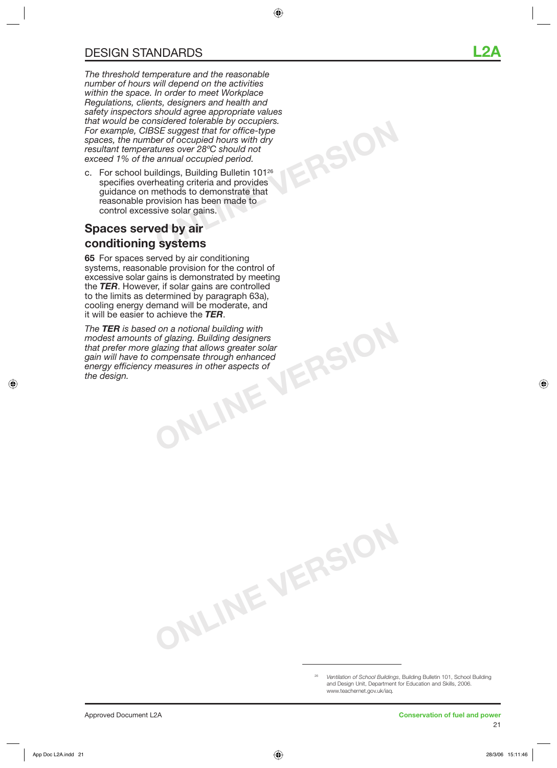*The threshold temperature and the reasonable number of hours will depend on the activities within the space. In order to meet Workplace Regulations, clients, designers and health and safety inspectors should agree appropriate values that would be considered tolerable by occupiers. For example, CIBSE suggest that for office-type spaces, the number of occupied hours with dry resultant temperatures over 28ºC should not exceed 1% of the annual occupied period.*

c. For school buildings, Building Bulletin 10126 specifies overheating criteria and provides guidance on methods to demonstrate that reasonable provision has been made to control excessive solar gains.

### **Spaces served by air conditioning systems**

**65** For spaces served by air conditioning systems, reasonable provision for the control of excessive solar gains is demonstrated by meeting the *TER*. However, if solar gains are controlled to the limits as determined by paragraph 63a), cooling energy demand will be moderate, and it will be easier to achieve the *TER*.

**ONLINE VERSION** *The TER is based on a notional building with modest amounts of glazing. Building designers that prefer more glazing that allows greater solar gain will have to compensate through enhanced energy efficiency measures in other aspects of the design.*

**ONLINE VERSION**

<sup>26</sup> *Ventilation of School Buildings*, Building Bulletin 101, School Building and Design Unit, Department for Education and Skills, 2006. www.teachernet.gov.uk/iaq.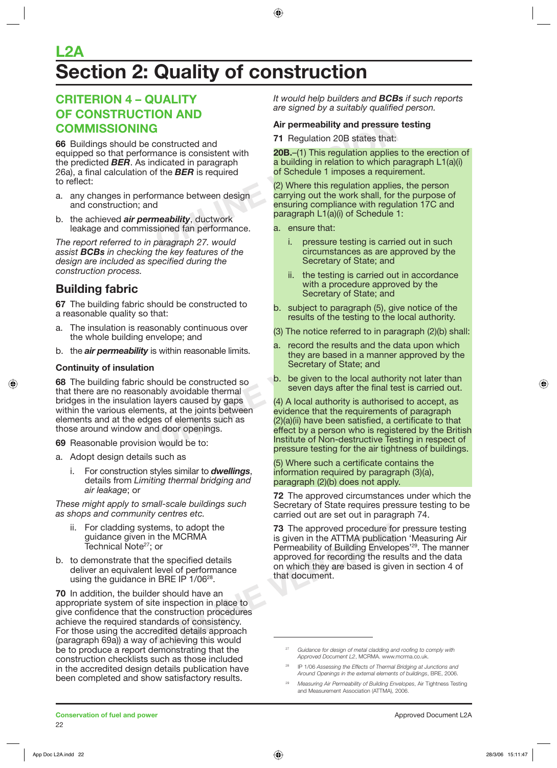# **L2A <u>Ection 2: Quality of construction</u>**

# **CRITERION 4 – QUALITY OF CONSTRUCTION AND COMMISSIONING**

**66** Buildings should be constructed and equipped so that performance is consistent with the predicted *BER*. As indicated in paragraph 26a), a final calculation of the *BER* is required to reflect:

- a. any changes in performance between design and construction; and
- b. the achieved *air permeability*, ductwork leakage and commissioned fan performance.

*The report referred to in paragraph 27. would assist BCBs in checking the key features of the design are included as specified during the construction process.* 

# **Building fabric**

**67** The building fabric should be constructed to a reasonable quality so that:

- a. The insulation is reasonably continuous over the whole building envelope; and
- b. the *air permeability* is within reasonable limits.

#### **Continuity of insulation**

**68** The building fabric should be constructed so that there are no reasonably avoidable thermal bridges in the insulation layers caused by gaps within the various elements, at the joints between elements and at the edges of elements such as those around window and door openings.

**69** Reasonable provision would be to:

- a. Adopt design details such as
	- i. For construction styles similar to *dwellings*, details from *Limiting thermal bridging and air leakage*; or

*These might apply to small-scale buildings such as shops and community centres etc.*

- ii. For cladding systems, to adopt the guidance given in the MCRMA Technical Note<sup>27</sup>; or
- b. to demonstrate that the specified details deliver an equivalent level of performance using the guidance in BRE IP 1/06<sup>28</sup>.

**70** In addition, the builder should have an appropriate system of site inspection in place to give confidence that the construction procedures achieve the required standards of consistency. For those using the accredited details approach (paragraph 69a)) a way of achieving this would be to produce a report demonstrating that the construction checklists such as those included in the accredited design details publication have been completed and show satisfactory results.

*It would help builders and BCBs if such reports are signed by a suitably qualified person.* 

#### **Air permeability and pressure testing**

**71** Regulation 20B states that:

**20B.**–(1) This regulation applies to the erection of a building in relation to which paragraph L1(a)(i) of Schedule 1 imposes a requirement.

**Example 15 Air permeability and pressure<br>
2018. The sultation 2018 states that:<br>
Internation 2018 states that:<br>
Internation 2018 states that:<br>
Internation applies<br>
Internation to which p<br>
of Schedule 1 imposes a require<br>** (2) Where this regulation applies, the person carrying out the work shall, for the purpose of ensuring compliance with regulation 17C and paragraph L1(a)(i) of Schedule 1:

- a. ensure that:
	- i. pressure testing is carried out in such circumstances as are approved by the Secretary of State; and
	- ii. the testing is carried out in accordance with a procedure approved by the Secretary of State; and
- b. subject to paragraph (5), give notice of the results of the testing to the local authority.
- (3) The notice referred to in paragraph (2)(b) shall:
- a. record the results and the data upon which they are based in a manner approved by the Secretary of State; and
- b. be given to the local authority not later than seven days after the final test is carried out.

**ONLINE VERSION** (4) A local authority is authorised to accept, as evidence that the requirements of paragraph (2)(a)(ii) have been satisfied, a certificate to that effect by a person who is registered by the British Institute of Non-destructive Testing in respect of pressure testing for the air tightness of buildings.

> (5) Where such a certificate contains the information required by paragraph (3)(a), paragraph (2)(b) does not apply.

**72** The approved circumstances under which the Secretary of State requires pressure testing to be carried out are set out in paragraph 74.

**EXERCISE AND SERVIDE SERVIDE SERVIDE SERVIDE SERVIDE SERVIDE SERVIDE SERVIDE SERVIDE SPECIFIED A DESCRIPTION OF SERVIDE SPECIFIED A DESCRIPTION OF SPECIFIED 1/06<sup>28</sup>.<br>
The specified details<br>
I BRE IP 1/06<sup>28</sup>.<br>
The specif 73** The approved procedure for pressure testing is given in the ATTMA publication 'Measuring Air Permeability of Building Envelopes<sup>'29</sup>. The manner approved for recording the results and the data on which they are based is given in section 4 of that document.

28 IP 1/06 *Assessing the Effects of Thermal Bridging at Junctions and Around Openings in the external elements of buildings*, BRE, 2006.

<sup>&</sup>lt;sup>27</sup> Guidance for design of metal cladding and roofing to comply with *Approved Document L2*, MCRMA. www.mcrma.co.uk.

<sup>29</sup> *Measuring Air Permeability of Building Envelopes*, Air Tightness Testing and Measurement Association (ATTMA), 2006.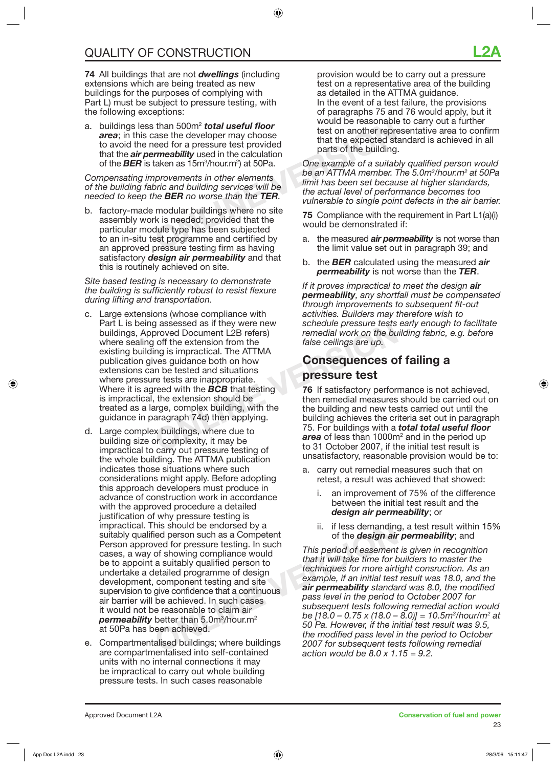**74** All buildings that are not *dwellings* (including extensions which are being treated as new buildings for the purposes of complying with Part L) must be subject to pressure testing, with the following exceptions:

than 500m<sup>2</sup> **total useful floor**<br>
ase the developer may choose<br>
eed for a pressure test provided<br>
that the expected state<br>
meability used in the calculation<br>
taken as 15m<sup>3</sup>/hour.m<sup>2</sup>) at 50Pa. One example of a suitab<br>
pr a. buildings less than 500m2 *total useful floor area*; in this case the developer may choose to avoid the need for a pressure test provided that the *air permeability* used in the calculation of the *BER* is taken as 15m<sup>3</sup>/hour.m<sup>2</sup>) at 50Pa.

#### *Compensating improvements in other elements of the building fabric and building services will be needed to keep the BER no worse than the TER.*

b. factory-made modular buildings where no site assembly work is needed; provided that the particular module type has been subjected to an in-situ test programme and certified by an approved pressure testing firm as having satisfactory *design air permeability* and that this is routinely achieved on site.

#### *Site based testing is necessary to demonstrate the building is sufficiently robust to resist flexure during lifting and transportation.*

- gradie pressure tests<br>
oroved Document L2B refers)<br>
of the extension from the<br>
ng is impractical. The ATTMA<br>
wes guidance both on how<br>
the state ceilings are up.<br>
ne tested and situations<br>
re tests are inappropriate.<br>
reed c. Large extensions (whose compliance with Part L is being assessed as if they were new buildings, Approved Document L2B refers) where sealing off the extension from the existing building is impractical. The ATTMA publication gives guidance both on how extensions can be tested and situations where pressure tests are inappropriate. Where it is agreed with the *BCB* that testing is impractical, the extension should be treated as a large, complex building, with the guidance in paragraph 74d) then applying.
- his should be endorsed by a<br>
ied person such as a Competent<br>
of the **design air**<br>
of the **design air**<br>
of showing compliance would<br>
a suitably qualified person to<br>
letailed programme of design<br>
component testing and site<br> d. Large complex buildings, where due to building size or complexity, it may be impractical to carry out pressure testing of the whole building. The ATTMA publication indicates those situations where such considerations might apply. Before adopting this approach developers must produce in advance of construction work in accordance with the approved procedure a detailed justification of why pressure testing is impractical. This should be endorsed by a suitably qualified person such as a Competent Person approved for pressure testing. In such cases, a way of showing compliance would be to appoint a suitably qualified person to undertake a detailed programme of design development, component testing and site supervision to give confidence that a continuous air barrier will be achieved. In such cases it would not be reasonable to claim air **permeability** better than 5.0m<sup>3</sup>/hour.m<sup>2</sup> at 50Pa has been achieved.
- e. Compartmentalised buildings; where buildings are compartmentalised into self-contained units with no internal connections it may be impractical to carry out whole building pressure tests. In such cases reasonable

provision would be to carry out a pressure test on a representative area of the building as detailed in the ATTMA guidance. In the event of a test failure, the provisions of paragraphs 75 and 76 would apply, but it would be reasonable to carry out a further test on another representative area to confirm that the expected standard is achieved in all parts of the building.

*One example of a suitably qualified person would be an ATTMA member. The 5.0m3 /hour.m2 at 50Pa limit has been set because at higher standards, the actual level of performance becomes too vulnerable to single point defects in the air barrier.*

**75** Compliance with the requirement in Part L1(a)(i) would be demonstrated if:

- a. the measured *air permeability* is not worse than the limit value set out in paragraph 39; and
- b. the *BER* calculated using the measured *air permeability* is not worse than the *TER*.

*If it proves impractical to meet the design air permeability, any shortfall must be compensated through improvements to subsequent fit-out activities. Builders may therefore wish to schedule pressure tests early enough to facilitate remedial work on the building fabric, e.g. before false ceilings are up.*

# **Consequences of failing a pressure test**

**76** If satisfactory performance is not achieved, then remedial measures should be carried out on the building and new tests carried out until the building achieves the criteria set out in paragraph 75. For buildings with a *total total useful floor*  area of less than 1000m<sup>2</sup> and in the period up to 31 October 2007, if the initial test result is unsatisfactory, reasonable provision would be to:

- a. carry out remedial measures such that on retest, a result was achieved that showed:
	- i. an improvement of 75% of the difference between the initial test result and the *design air permeability*; or
	- ii. if less demanding, a test result within 15% of the *design air permeability*; and

*This period of easement is given in recognition that it will take time for builders to master the techniques for more airtight consruction. As an example, if an initial test result was 18.0, and the air permeability standard was 8.0, the modified pass level in the period to October 2007 for subsequent tests following remedial action would be [18.0 – 0.75 x (18.0 – 8.0)] = 10.5m3 /hour/m2 at 50 Pa. However, if the initial test result was 9.5, the modified pass level in the period to October 2007 for subsequent tests following remedial action would be 8.0 x 1.15 = 9.2.*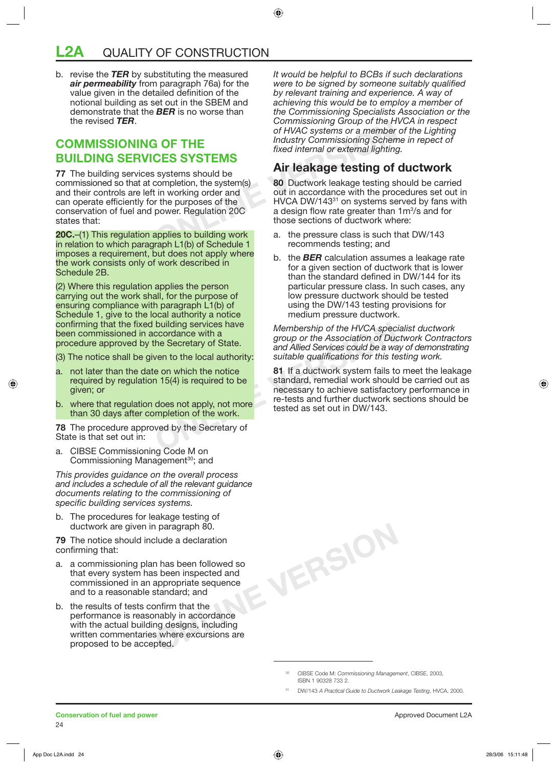# **L2A** QUALITY OF CONSTRUCTION

b. revise the *TER* by substituting the measured *air permeability* from paragraph 76a) for the value given in the detailed definition of the notional building as set out in the SBEM and demonstrate that the *BER* is no worse than the revised *TER*.

## **COMMISSIONING OF THE BUILDING SERVICES SYSTEMS**

**77** The building services systems should be commissioned so that at completion, the system(s) and their controls are left in working order and can operate efficiently for the purposes of the conservation of fuel and power. Regulation 20C states that:

**20C.**–(1) This regulation applies to building work in relation to which paragraph L1(b) of Schedule 1 imposes a requirement, but does not apply where the work consists only of work described in Schedule 2B.

(2) Where this regulation applies the person carrying out the work shall, for the purpose of ensuring compliance with paragraph L1(b) of Schedule 1, give to the local authority a notice confirming that the fixed building services have been commissioned in accordance with a procedure approved by the Secretary of State.

(3) The notice shall be given to the local authority:

- a. not later than the date on which the notice required by regulation 15(4) is required to be given; or
- b. where that regulation does not apply, not more than 30 days after completion of the work.

**78** The procedure approved by the Secretary of State is that set out in:

a. CIBSE Commissioning Code M on Commissioning Management<sup>30</sup>; and

*This provides guidance on the overall process and includes a schedule of all the relevant guidance documents relating to the commissioning of specific building services systems.*

b. The procedures for leakage testing of ductwork are given in paragraph 80.

**79** The notice should include a declaration confirming that:

- a. a commissioning plan has been followed so that every system has been inspected and commissioned in an appropriate sequence and to a reasonable standard; and
- b. the results of tests confirm that the performance is reasonably in accordance with the actual building designs, including written commentaries where excursions are proposed to be accepted.

*It would be helpful to BCBs if such declarations were to be signed by someone suitably qualified by relevant training and experience. A way of achieving this would be to employ a member of the Commissioning Specialists Association or the Commissioning Group of the HVCA in respect of HVAC systems or a member of the Lighting Industry Commissioning Scheme in repect of fixed internal or external lighting.* 

### **Air leakage testing of ductwork**

COMMISSIONING COMMISSIONING COMPRESSION COMMISSIONING OF THE<br> **CES SYSTEMS**<br>
Systems should be<br>
Systems should be<br>
Systems should be<br>
Systems should be<br>
Systems should be<br> **Air leakage testing of**<br>
Systems should be<br>
The p **80** Ductwork leakage testing should be carried out in accordance with the procedures set out in HVCA DW/143<sup>31</sup> on systems served by fans with a design flow rate greater than  $1m<sup>3</sup>/s$  and for those sections of ductwork where:

- a. the pressure class is such that DW/143 recommends testing; and
- b. the *BER* calculation assumes a leakage rate for a given section of ductwork that is lower than the standard defined in DW/144 for its particular pressure class. In such cases, any low pressure ductwork should be tested using the DW/143 testing provisions for medium pressure ductwork.

*Membership of the HVCA specialist ductwork group or the Association of Ductwork Contractors and Allied Services could be a way of demonstrating suitable qualifications for this testing work.*

building services have<br>
ccordance with a<br>
the Secretary of State.<br>
wen to the local authority:<br>
wen to the local authority:<br>
e on which the notice<br>
on 15(4) is required to be<br> **Solution** to be<br> **Solution** the notice<br> **Solu 81** If a ductwork system fails to meet the leakage standard, remedial work should be carried out as necessary to achieve satisfactory performance in re-tests and further ductwork sections should be tested as set out in DW/143.

<sup>30</sup> CIBSE Code M: *Commissioning Management*, CIBSE, 2003, ISBN 1 90328 733 2.

<sup>31</sup> DW/143 *A Practical Guide to Ductwork Leakage Testing*, HVCA, 2000.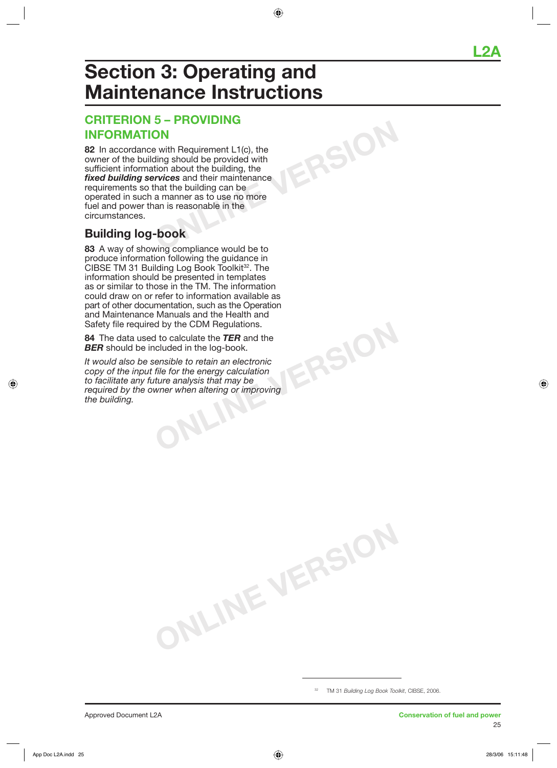# **Section 3: Operating and Maintenance Instructions**

# **CRITERION 5 – PROVIDING INFORMATION**

**82** In accordance with Requirement L1(c), the owner of the building should be provided with sufficient information about the building, the *fixed building services* and their maintenance requirements so that the building can be operated in such a manner as to use no more fuel and power than is reasonable in the circumstances.

# **Building log-book**

**83** A way of showing compliance would be to produce information following the guidance in CIBSE TM 31 Building Log Book Toolkit<sup>32</sup>. The information should be presented in templates as or similar to those in the TM. The information could draw on or refer to information available as part of other documentation, such as the Operation and Maintenance Manuals and the Health and Safety file required by the CDM Regulations.

**84** The data used to calculate the *TER* and the **BER** should be included in the log-book.

**ONLINE** SURVEY WAS SIDE TO THE ENERGY CALCULATION OF THE ENERGY CALCULATION OF THE SURVEY WHEN altering or improving *It would also be sensible to retain an electronic copy of the input file for the energy calculation to facilitate any future analysis that may be required by the owner when altering or improving the building.*

**ONLINE VERSION**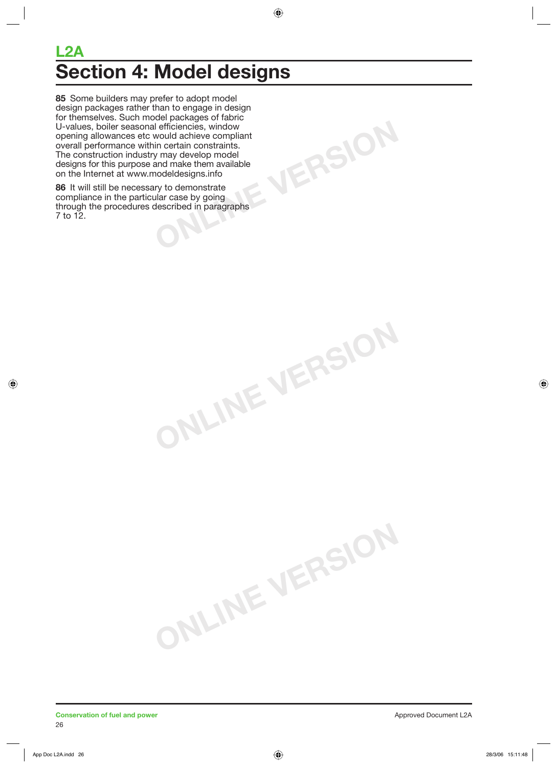# **L2A Section 4: Model designs**

**ONLINE VERSION**

**ONLINE VERSION**

**ONLINE VERSION**

**85** Some builders may prefer to adopt model design packages rather than to engage in design for themselves. Such model packages of fabric U-values, boiler seasonal efficiencies, window opening allowances etc would achieve compliant overall performance within certain constraints. The construction industry may develop model designs for this purpose and make them available on the Internet at www.modeldesigns.info

**86** It will still be necessary to demonstrate compliance in the particular case by going through the procedures described in paragraphs 7 to 12.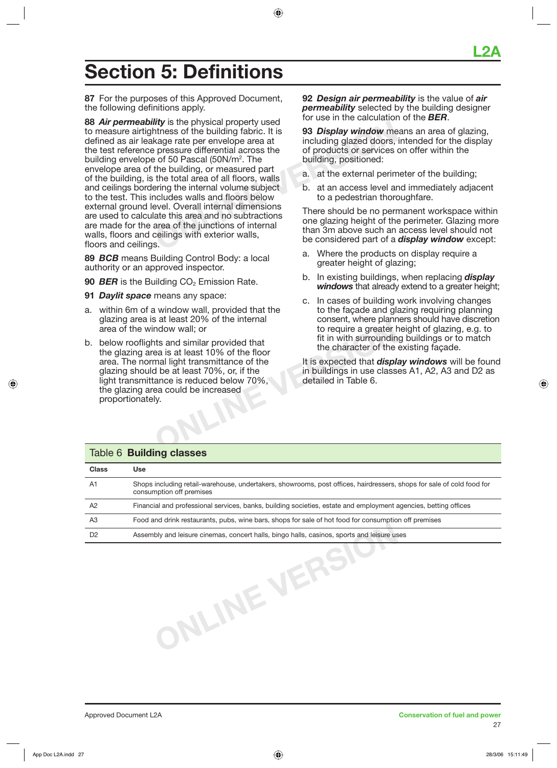# **Section 5: Definitions**

**87** For the purposes of this Approved Document, the following definitions apply.

**Solution** the building fabric. It is<br>
the building fabric. It is<br>
the building fabric. It is<br>  $\bullet$  of 50 Pascal (50N/m<sup>2</sup>. The<br>
the building, or measured part<br>
the total area of all floors, walls<br>
ering the internal volum **88** *Air permeability* is the physical property used to measure airtightness of the building fabric. It is defined as air leakage rate per envelope area at the test reference pressure differential across the building envelope of 50 Pascal (50N/m<sup>2</sup>. The envelope area of the building, or measured part of the building, is the total area of all floors, walls and ceilings bordering the internal volume subject to the test. This includes walls and floors below external ground level. Overall internal dimensions are used to calculate this area and no subtractions are made for the area of the junctions of internal walls, floors and ceilings with exterior walls, floors and ceilings.

**89** *BCB* means Building Control Body: a local authority or an approved inspector.

- **90** *BER* is the Building CO<sub>2</sub> Emission Rate.
- **91** *Daylit space* means any space:
- a. within 6m of a window wall, provided that the glazing area is at least 20% of the internal area of the window wall; or
- Friedrich Controlling and Similar provided that<br> **ONLINE A SIMUST A SIMUST A SIMUST A SIMUST A SIMUST A SIMUST A SIMUST A SIMUST A SIMUST A SIMUST A SIMUST A SIMUST A SIMUST A SIMUST A SIMUST A SIMUST A SIMUST A SIMUST A S** b. below rooflights and similar provided that the glazing area is at least 10% of the floor area. The normal light transmittance of the glazing should be at least 70%, or, if the light transmittance is reduced below 70%, the glazing area could be increased proportionately.

**92** *Design air permeability* is the value of *air permeability* selected by the building designer for use in the calculation of the *BER*.

**93** *Display window* means an area of glazing, including glazed doors, intended for the display of products or services on offer within the building, positioned:

- a. at the external perimeter of the building;
- b. at an access level and immediately adjacent to a pedestrian thoroughfare.

There should be no permanent workspace within one glazing height of the perimeter. Glazing more than 3m above such an access level should not be considered part of a *display window* except:

- a. Where the products on display require a greater height of glazing;
- b. In existing buildings, when replacing *display windows* that already extend to a greater height;
- c. In cases of building work involving changes to the façade and glazing requiring planning consent, where planners should have discretion to require a greater height of glazing, e.g. to fit in with surrounding buildings or to match the character of the existing façade.

It is expected that *display windows* will be found in buildings in use classes A1, A2, A3 and D2 as detailed in Table 6.

| <b>Class</b>   | <b>Use</b>                                                                                                                                        |
|----------------|---------------------------------------------------------------------------------------------------------------------------------------------------|
| A <sub>1</sub> | Shops including retail-warehouse, undertakers, showrooms, post offices, hairdressers, shops for sale of cold food for<br>consumption off premises |
| A <sub>2</sub> | Financial and professional services, banks, building societies, estate and employment agencies, betting offices                                   |
| A <sub>3</sub> | Food and drink restaurants, pubs, wine bars, shops for sale of hot food for consumption off premises                                              |
| D <sub>2</sub> | Assembly and leisure cinemas, concert halls, bingo halls, casinos, sports and leisure uses                                                        |
|                |                                                                                                                                                   |

### Table 6 **Building classes**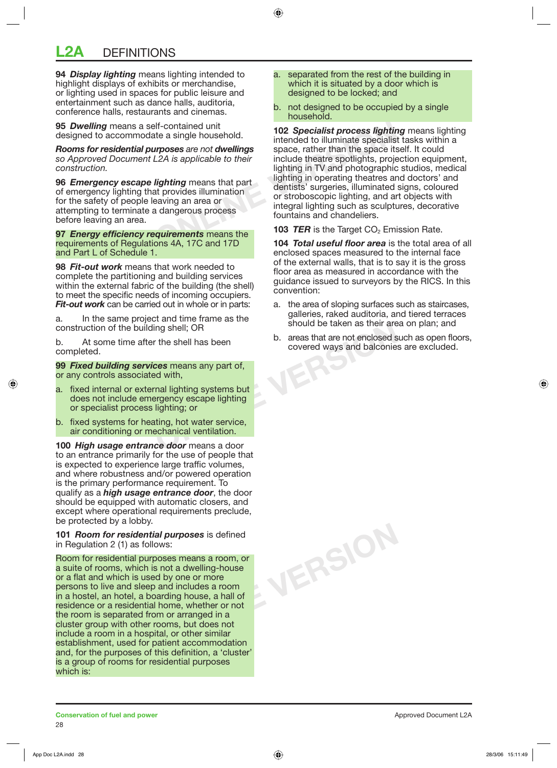# **L2A** DEFINITIONS

**94** *Display lighting* means lighting intended to highlight displays of exhibits or merchandise, or lighting used in spaces for public leisure and entertainment such as dance halls, auditoria, conference halls, restaurants and cinemas.

**95** *Dwelling* means a self-contained unit designed to accommodate a single household.

*Rooms for residential purposes are not dwellings so Approved Document L2A is applicable to their construction.*

**96** *Emergency escape lighting* means that part of emergency lighting that provides illumination for the safety of people leaving an area or attempting to terminate a dangerous process before leaving an area.

**97** *Energy efficiency requirements* means the requirements of Regulations 4A, 17C and 17D and Part L of Schedule 1.

**98** *Fit-out work* means that work needed to complete the partitioning and building services within the external fabric of the building (the shell) to meet the specific needs of incoming occupiers. *Fit-out work* can be carried out in whole or in parts:

a. In the same project and time frame as the construction of the building shell; OR

b. At some time after the shell has been completed.

**99** *Fixed building services* means any part of, or any controls associated with,

- Fing shell; OR<br>
The shell has been<br>
the shell has been<br>
the shell has been<br>
the shell has been<br>
the shell has been<br>
the shell has been<br>
covered ways and balconies<br>
covered ways and balconies<br>
covered ways and balconies<br>
co a. fixed internal or external lighting systems but does not include emergency escape lighting or specialist process lighting; or
- b. fixed systems for heating, hot water service, air conditioning or mechanical ventilation.

**100** *High usage entrance door* means a door to an entrance primarily for the use of people that is expected to experience large traffic volumes, and where robustness and/or powered operation is the primary performance requirement. To qualify as a *high usage entrance door*, the door should be equipped with automatic closers, and except where operational requirements preclude, be protected by a lobby.

#### **101** *Room for residential purposes* is defined in Regulation 2 (1) as follows:

Room for residential purposes means a room, or a suite of rooms, which is not a dwelling-house or a flat and which is used by one or more persons to live and sleep and includes a room in a hostel, an hotel, a boarding house, a hall of residence or a residential home, whether or not the room is separated from or arranged in a cluster group with other rooms, but does not include a room in a hospital, or other similar establishment, used for patient accommodation and, for the purposes of this definition, a 'cluster' is a group of rooms for residential purposes which is:

- a. separated from the rest of the building in which it is situated by a door which is designed to be locked; and
- b. not designed to be occupied by a single household.

Provides are not **dwellings**<br> **CALC ALC ALC ANCE AND** intended to illuminate specialist<br> **CALC A** is applicable to their<br> **CALC A** is applicable to their<br> **CALC A** is applicable to their<br> **CALC A** is applicable to their<br> **102** *Specialist process lighting* means lighting intended to illuminate specialist tasks within a space, rather than the space itself. It could include theatre spotlights, projection equipment, lighting in TV and photographic studios, medical lighting in operating theatres and doctors' and dentists' surgeries, illuminated signs, coloured or stroboscopic lighting, and art objects with integral lighting such as sculptures, decorative fountains and chandeliers.

**103** *TER* is the Target CO<sub>2</sub> Emission Rate.

**104** *Total useful floor area* is the total area of all enclosed spaces measured to the internal face of the external walls, that is to say it is the gross floor area as measured in accordance with the guidance issued to surveyors by the RICS. In this convention:

- a. the area of sloping surfaces such as staircases, galleries, raked auditoria, and tiered terraces should be taken as their area on plan; and
- b. areas that are not enclosed such as open floors, covered ways and balconies are excluded.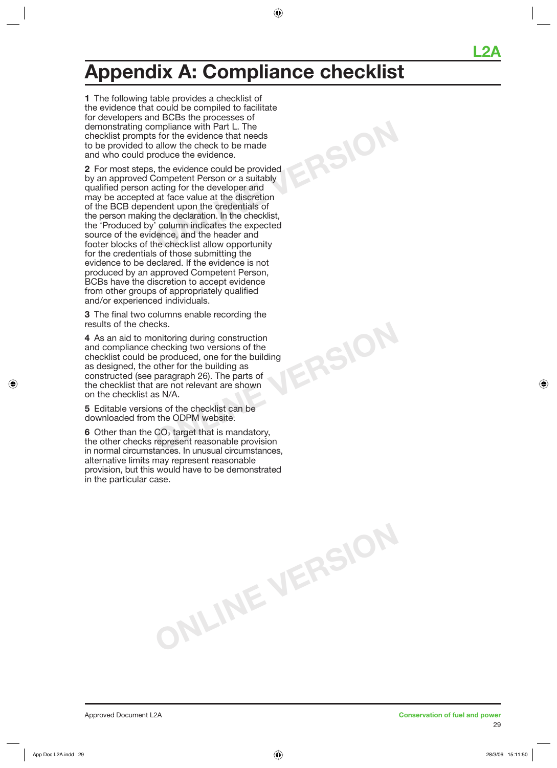# **Appendix A: Compliance checklist**

**ONLINE VERSION**

**ONLINE VERSION**

**ONLINE VERSION**

**1** The following table provides a checklist of the evidence that could be compiled to facilitate for developers and BCBs the processes of demonstrating compliance with Part L. The checklist prompts for the evidence that needs to be provided to allow the check to be made and who could produce the evidence.

**2** For most steps, the evidence could be provided by an approved Competent Person or a suitably qualified person acting for the developer and may be accepted at face value at the discretion of the BCB dependent upon the credentials of the person making the declaration. In the checklist, the 'Produced by' column indicates the expected source of the evidence, and the header and footer blocks of the checklist allow opportunity for the credentials of those submitting the evidence to be declared. If the evidence is not produced by an approved Competent Person, BCBs have the discretion to accept evidence from other groups of appropriately qualified and/or experienced individuals.

**3** The final two columns enable recording the results of the checks.

**4** As an aid to monitoring during construction and compliance checking two versions of the checklist could be produced, one for the building as designed, the other for the building as constructed (see paragraph 26). The parts of the checklist that are not relevant are shown on the checklist as N/A.

**5** Editable versions of the checklist can be downloaded from the ODPM website.

**6** Other than the  $CO<sub>2</sub>$  target that is mandatory, the other checks represent reasonable provision in normal circumstances. In unusual circumstances, alternative limits may represent reasonable provision, but this would have to be demonstrated in the particular case.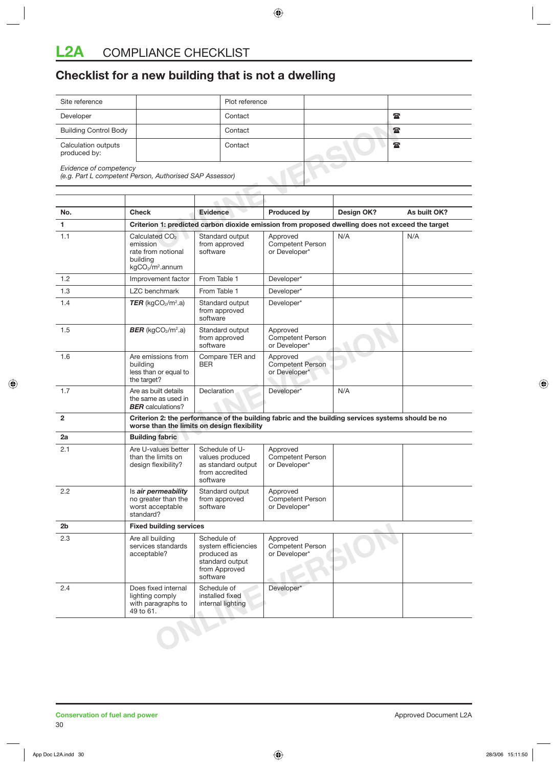# **Checklist for a new building that is not a dwelling**

| Site reference                                                                    |                                                                                                  |                 | Plot reference                   |                                                  |              |              |              |
|-----------------------------------------------------------------------------------|--------------------------------------------------------------------------------------------------|-----------------|----------------------------------|--------------------------------------------------|--------------|--------------|--------------|
| Developer                                                                         |                                                                                                  |                 | Contact                          |                                                  |              | $\mathbf{r}$ |              |
|                                                                                   | <b>Building Control Body</b>                                                                     |                 | Contact                          |                                                  |              | $\mathbf{r}$ |              |
| Calculation outputs<br>produced by:                                               |                                                                                                  | Contact         |                                  |                                                  | $\mathbf{r}$ |              |              |
| Evidence of competency<br>(e.g. Part L competent Person, Authorised SAP Assessor) |                                                                                                  |                 |                                  |                                                  |              |              |              |
|                                                                                   |                                                                                                  |                 |                                  |                                                  |              |              |              |
|                                                                                   |                                                                                                  |                 |                                  |                                                  |              |              |              |
| No.                                                                               | <b>Check</b>                                                                                     | <b>Evidence</b> |                                  | <b>Produced by</b>                               |              | Design OK?   | As built OK? |
|                                                                                   | Criterion 1: predicted carbon dioxide emission from proposed dwelling does not exceed the target |                 |                                  |                                                  |              |              |              |
| 1.1                                                                               | Calculated CO <sub>2</sub><br>emission                                                           |                 | Standard output<br>from approved | Approved<br><b>Competent Person</b><br>$-1$ $-1$ |              | N/A          | N/A          |

| No.            | <b>Check</b>                                                                                                         | <b>Evidence</b>                                                                                   | <b>Produced by</b>                                                                                 | Design OK? | As built OK? |  |  |
|----------------|----------------------------------------------------------------------------------------------------------------------|---------------------------------------------------------------------------------------------------|----------------------------------------------------------------------------------------------------|------------|--------------|--|--|
| 1.             | Criterion 1: predicted carbon dioxide emission from proposed dwelling does not exceed the target                     |                                                                                                   |                                                                                                    |            |              |  |  |
| 1.1            | Calculated CO <sub>2</sub><br>emission<br>rate from notional<br>building<br>kgCO <sub>2</sub> /m <sup>2</sup> .annum | Standard output<br>from approved<br>software                                                      | Approved<br><b>Competent Person</b><br>or Developer*                                               | N/A        | N/A          |  |  |
| 1.2            | Improvement factor                                                                                                   | From Table 1                                                                                      | Developer*                                                                                         |            |              |  |  |
| 1.3            | <b>LZC</b> benchmark                                                                                                 | From Table 1                                                                                      | Developer*                                                                                         |            |              |  |  |
| 1.4            | <b>TER</b> (kgCO <sub>2</sub> /m <sup>2</sup> .a)                                                                    | Standard output<br>from approved<br>software                                                      | Developer*                                                                                         |            |              |  |  |
| 1.5            | $BER$ (kgCO <sub>2</sub> /m <sup>2</sup> .a)                                                                         | Standard output<br>from approved<br>software                                                      | Approved<br><b>Competent Person</b><br>or Developer*                                               |            |              |  |  |
| 1.6            | Are emissions from<br>building<br>less than or equal to<br>the target?                                               | Compare TER and<br><b>BER</b>                                                                     | Approved<br><b>Competent Person</b><br>or Developer*                                               |            |              |  |  |
| 1.7            | Are as built details<br>the same as used in<br><b>BER</b> calculations?                                              | Declaration                                                                                       | Developer*                                                                                         | N/A        |              |  |  |
| $\overline{2}$ |                                                                                                                      | worse than the limits on design flexibility                                                       | Criterion 2: the performance of the building fabric and the building services systems should be no |            |              |  |  |
| 2a             | <b>Building fabric</b>                                                                                               |                                                                                                   |                                                                                                    |            |              |  |  |
| 2.1            | Are U-values better<br>than the limits on<br>design flexibility?                                                     | Schedule of U-<br>values produced<br>as standard output<br>from accredited<br>software            | Approved<br>Competent Person<br>or Developer*                                                      |            |              |  |  |
| 2.2            | Is air permeability<br>no greater than the<br>worst acceptable<br>standard?                                          | Standard output<br>from approved<br>software                                                      | Approved<br><b>Competent Person</b><br>or Developer*                                               |            |              |  |  |
| 2b             | <b>Fixed building services</b>                                                                                       |                                                                                                   |                                                                                                    |            |              |  |  |
| 2.3            | Are all building<br>services standards<br>acceptable?                                                                | Schedule of<br>system efficiencies<br>produced as<br>standard output<br>from Approved<br>software | Approved<br>Competent Person<br>or Developer*                                                      |            |              |  |  |
| 2.4            | Does fixed internal<br>lighting comply<br>with paragraphs to                                                         | Schedule of<br>installed fixed<br>internal lighting                                               | Developer*                                                                                         |            |              |  |  |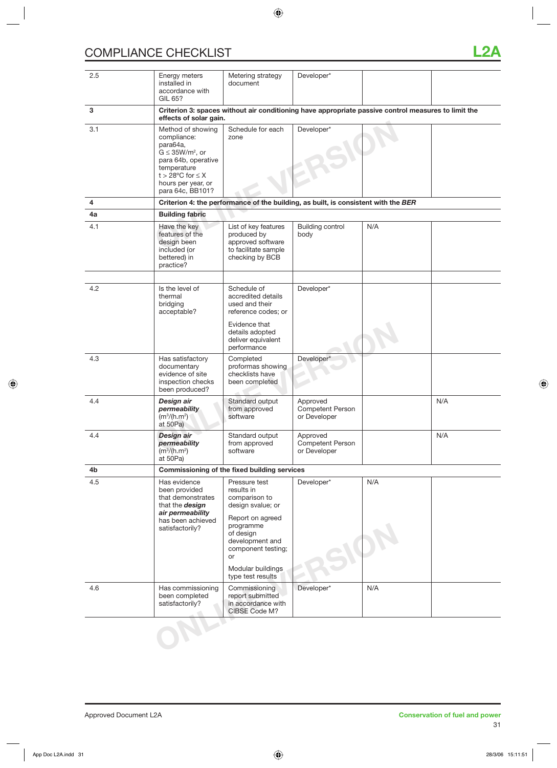# COMPLIANCE CHECKLIST **L2A**

| 2.5 | Energy meters<br>installed in<br>accordance with<br>GIL 65?                                                                                                                              | Metering strategy<br>document                                                                                                                                                                            | Developer*                                                                                          |     |     |
|-----|------------------------------------------------------------------------------------------------------------------------------------------------------------------------------------------|----------------------------------------------------------------------------------------------------------------------------------------------------------------------------------------------------------|-----------------------------------------------------------------------------------------------------|-----|-----|
| 3   | effects of solar gain.                                                                                                                                                                   |                                                                                                                                                                                                          | Criterion 3: spaces without air conditioning have appropriate passive control measures to limit the |     |     |
| 3.1 | Method of showing<br>compliance:<br>para64a,<br>$G \leq 35W/m^2$ , or<br>para 64b, operative<br>temperature<br>$t > 28^{\circ}$ C for $\leq X$<br>hours per year, or<br>para 64c, BB101? | Schedule for each<br>zone                                                                                                                                                                                | Developer*                                                                                          |     |     |
| 4   |                                                                                                                                                                                          |                                                                                                                                                                                                          | Criterion 4: the performance of the building, as built, is consistent with the BER                  |     |     |
| 4a  | <b>Building fabric</b>                                                                                                                                                                   |                                                                                                                                                                                                          |                                                                                                     |     |     |
| 4.1 | Have the key<br>features of the<br>design been<br>included (or<br>bettered) in<br>practice?                                                                                              | List of key features<br>produced by<br>approved software<br>to facilitate sample<br>checking by BCB                                                                                                      | Building control<br>body                                                                            | N/A |     |
| 4.2 | Is the level of<br>thermal<br>bridging<br>acceptable?                                                                                                                                    | Schedule of<br>accredited details<br>used and their<br>reference codes; or<br>Evidence that<br>details adopted<br>deliver equivalent<br>performance                                                      | Developer*                                                                                          |     |     |
| 4.3 | Has satisfactory<br>documentary<br>evidence of site<br>inspection checks<br>been produced?                                                                                               | Completed<br>proformas showing<br>checklists have<br>been completed                                                                                                                                      | Developer*                                                                                          |     |     |
| 4.4 | Design air<br>permeability<br>$(m^3/(h.m^2))$<br>at 50Pa)                                                                                                                                | Standard output<br>from approved<br>software                                                                                                                                                             | Approved<br><b>Competent Person</b><br>or Developer                                                 |     | N/A |
| 4.4 | Design air<br>permeability<br>$(m^3/(h.m^2))$<br>at 50Pa)                                                                                                                                | Standard output<br>from approved<br>software                                                                                                                                                             | Approved<br>Competent Person<br>or Developer                                                        |     | N/A |
| 4b  |                                                                                                                                                                                          | Commissioning of the fixed building services                                                                                                                                                             |                                                                                                     |     |     |
| 4.5 | Has evidence<br>been provided<br>that demonstrates<br>that the design<br>air permeability<br>has been achieved<br>satisfactorily?                                                        | Pressure test<br>results in<br>comparison to<br>design svalue; or<br>Report on agreed<br>programme<br>of design<br>development and<br>component testing;<br>or<br>Modular buildings<br>type test results | Developer*                                                                                          | N/A |     |
| 4.6 | Has commissioning<br>been completed<br>satisfactorily?                                                                                                                                   | Commissioning<br>report submitted<br>in accordance with<br>CIBSE Code M?                                                                                                                                 | Developer*                                                                                          | N/A |     |
|     |                                                                                                                                                                                          |                                                                                                                                                                                                          |                                                                                                     |     |     |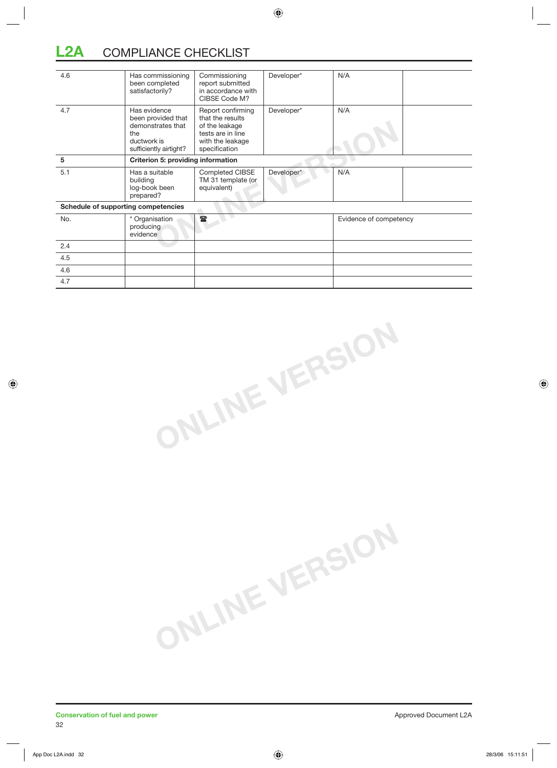# **L2A** COMPLIANCE CHECKLIST

| 4.6                                 | Has commissioning<br>been completed<br>satisfactorily?                                                  | Commissioning<br>report submitted<br>in accordance with<br>CIBSE Code M?                                          | Developer* | N/A                    |  |  |  |
|-------------------------------------|---------------------------------------------------------------------------------------------------------|-------------------------------------------------------------------------------------------------------------------|------------|------------------------|--|--|--|
| 4.7                                 | Has evidence<br>been provided that<br>demonstrates that<br>the<br>ductwork is<br>sufficiently airtight? | Report confirming<br>that the results<br>of the leakage<br>tests are in line<br>with the leakage<br>specification | Developer* | N/A                    |  |  |  |
| 5                                   | Criterion 5: providing information                                                                      |                                                                                                                   |            |                        |  |  |  |
| 5.1                                 | Has a suitable<br>building<br>log-book been<br>prepared?                                                | Completed CIBSE<br>TM 31 template (or<br>equivalent)                                                              | Developer* | N/A                    |  |  |  |
| Schedule of supporting competencies |                                                                                                         |                                                                                                                   |            |                        |  |  |  |
| No.                                 | * Organisation<br>producing<br>evidence                                                                 | $\mathbf{r}$                                                                                                      |            | Evidence of competency |  |  |  |
| 2.4                                 |                                                                                                         |                                                                                                                   |            |                        |  |  |  |
| 4.5                                 |                                                                                                         |                                                                                                                   |            |                        |  |  |  |
| 4.6                                 |                                                                                                         |                                                                                                                   |            |                        |  |  |  |
| 4.7                                 |                                                                                                         |                                                                                                                   |            |                        |  |  |  |

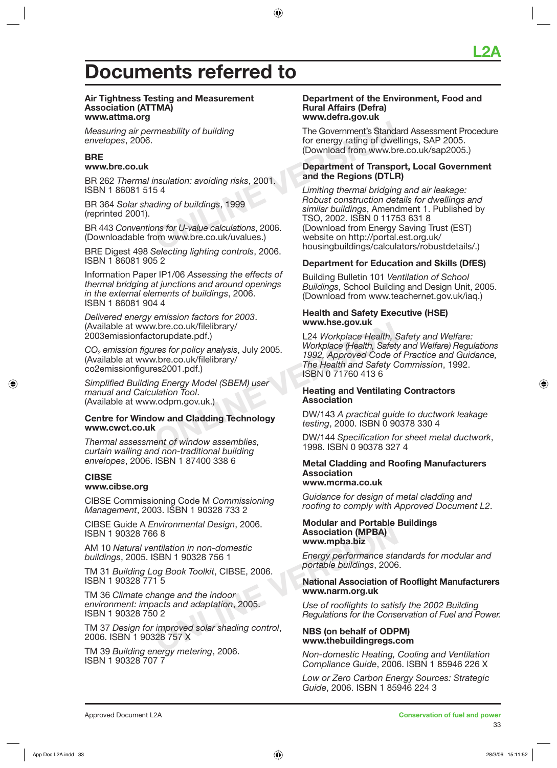# **Documents referred to**

#### **Air Tightness Testing and Measurement Association (ATTMA) www.attma.org**

*Measuring air permeability of building envelopes*, 2006.

#### **BRE www.bre.co.uk**

BR 262 *Thermal insulation: avoiding risks*, 2001. ISBN 1 86081 515 4

BR 364 *Solar shading of buildings*, 1999 (reprinted 2001).

BR 443 *Conventions for U-value calculations*, 2006. (Downloadable from www.bre.co.uk/uvalues.)

BRE Digest 498 *Selecting lighting controls*, 2006. ISBN 1 86081 905 2

Information Paper IP1/06 *Assessing the effects of thermal bridging at junctions and around openings in the external elements of buildings*, 2006. ISBN 1 86081 904 4

*Delivered energy emission factors for 2003*. (Available at www.bre.co.uk/filelibrary/ 2003emissionfactorupdate.pdf.)

*CO2 emission figures for policy analysis*, July 2005. (Available at www.bre.co.uk/filelibrary/ co2emissionfigures2001.pdf.)

*Simplified Building Energy Model (SBEM) user manual and Calculation Tool*. (Available at www.odpm.gov.uk.)

#### **Centre for Window and Cladding Technology www.cwct.co.uk**

*Thermal assessment of window assemblies, curtain walling and non-traditional building envelopes*, 2006. ISBN 1 87400 338 6

# **CIBSE**

**www.cibse.org**

CIBSE Commissioning Code M *Commissioning Management*, 2003. ISBN 1 90328 733 2

CIBSE Guide A *Environmental Design*, 2006. ISBN 1 90328 766 8

AM 10 *Natural ventilation in non-domestic buildings*, 2005. ISBN 1 90328 756 1

TM 31 *Building Log Book Toolkit*, CIBSE, 2006. ISBN 1 90328 771 5

nvironmental Design, 2006.<br>
6 8<br> **CONLINERT ASSociation (MPBA)**<br>
Muslima and Portable<br>
SBN 1 90328 756 1<br>
SBN 1 90328 756 1<br>
SBN 1 90328 756 1<br>
SBN 1 90328 756 1<br>
Fergy performance stand<br>
portable buildings, 2006<br>
portable TM 36 *Climate change and the indoor environment: impacts and adaptation*, 2005. ISBN 1 90328 750 2

TM 37 *Design for improved solar shading control*, 2006. ISBN 1 90328 757 X

TM 39 *Building energy metering*, 2006. ISBN 1 90328 707 7

#### **Department of the Environment, Food and Rural Affairs (Defra) www.defra.gov.uk**

The Government's Standard Assessment Procedure for energy rating of dwellings, SAP 2005. (Download from www.bre.co.uk/sap2005.)

#### **Department of Transport, Local Government and the Regions (DTLR)**

meability of building<br>
for energy rating of dwe<br>
(Download from www.br<br>
mealation: avoiding risks, 2001.<br> **OPENTMENT OF Transportant of Transportant of Transportant of Transportant of Transportant of Transportant of Transp** *Limiting thermal bridging and air leakage: Robust construction details for dwellings and similar buildings*, Amendment 1. Published by TSO, 2002. ISBN 0 11753 631 8 (Download from Energy Saving Trust (EST) website on http://portal.est.org.uk/ housingbuildings/calculators/robustdetails/.)

#### **Department for Education and Skills (DfES)**

Building Bulletin 101 *Ventilation of School Buildings*, School Building and Design Unit, 2005. (Download from www.teachernet.gov.uk/iaq.)

#### **Health and Safety Executive (HSE) www.hse.gov.uk**

V.bre.co.uk/filelibrary/<br>
torupdate.pdf.)<br>
torupdate.pdf.)<br>
The Health, Safety<br>
CREAD 1992, Approved Code of<br>
the Health and Safety C<br>
1992, Approved Code of<br>
The Health and Safety C<br>
se2001.pdf.)<br>
g Energy Model (SBEM) us L24 *Workplace Health, Safety and Welfare: Workplace (Health, Safety and Welfare) Regulations 1992, Approved Code of Practice and Guidance, The Health and Safety Commission*, 1992. ISBN 0 71760 413 6

#### **Heating and Ventilating Contractors Association**

DW/143 *A practical guide to ductwork leakage testing*, 2000. ISBN 0 90378 330 4

DW/144 *Specification for sheet metal ductwork*, 1998. ISBN 0 90378 327 4

#### **Metal Cladding and Roofing Manufacturers Association www.mcrma.co.uk**

*Guidance for design of metal cladding and roofing to comply with Approved Document L2*.

#### **Modular and Portable Buildings Association (MPBA) www.mpba.biz**

*Energy performance standards for modular and portable buildings*, 2006.

#### **National Association of Rooflight Manufacturers www.narm.org.uk**

*Use of rooflights to satisfy the 2002 Building Regulations for the Conservation of Fuel and Power.*

#### **NBS (on behalf of ODPM) www.thebuildingregs.com**

*Non-domestic Heating, Cooling and Ventilation Compliance Guide*, 2006. ISBN 1 85946 226 X

*Low or Zero Carbon Energy Sources: Strategic Guide*, 2006. ISBN 1 85946 224 3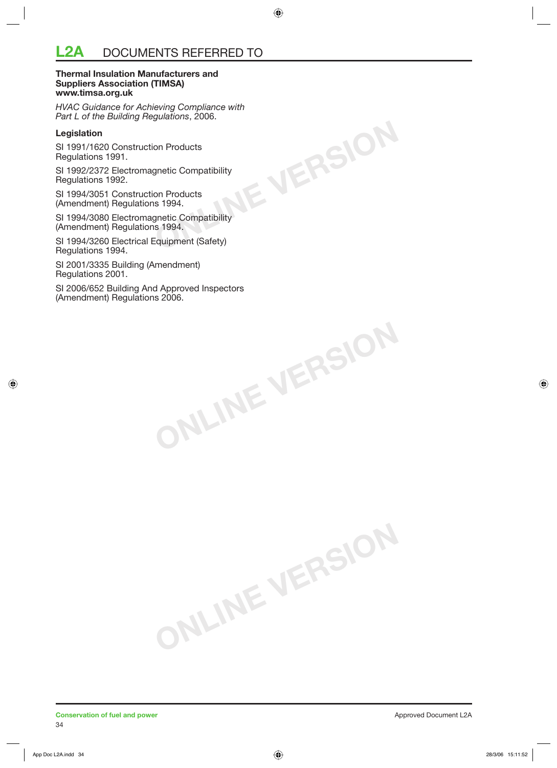# **L2A** DOCUMENTS REFERRED TO

#### **Thermal Insulation Manufacturers and Suppliers Association (TIMSA) www.timsa.org.uk**

**ONLINE VERSION** *HVAC Guidance for Achieving Compliance with Part L of the Building Regulations*, 2006.

#### **Legislation**

SI 1991/1620 Construction Products Regulations 1991.

SI 1992/2372 Electromagnetic Compatibility Regulations 1992.

SI 1994/3051 Construction Products (Amendment) Regulations 1994.

SI 1994/3080 Electromagnetic Compatibility (Amendment) Regulations 1994.

SI 1994/3260 Electrical Equipment (Safety) Regulations 1994.

SI 2001/3335 Building (Amendment) Regulations 2001.

**ONLINE VERSION** SI 2006/652 Building And Approved Inspectors (Amendment) Regulations 2006.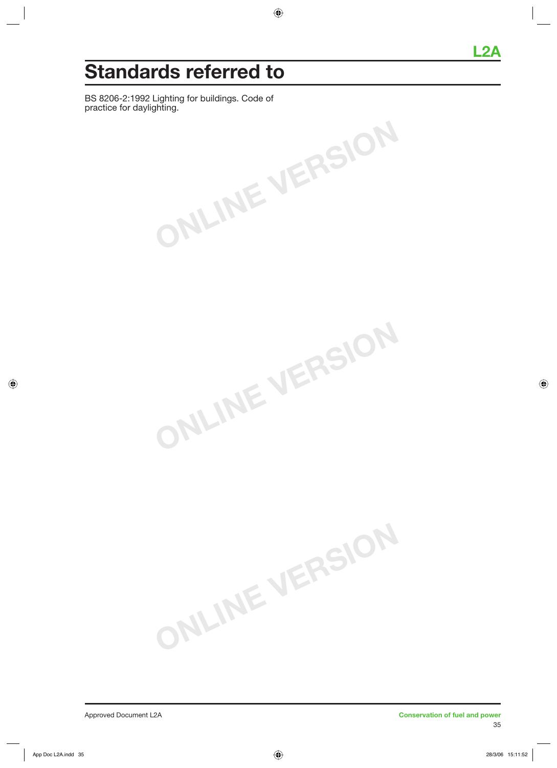# **Standards referred to**

BS 8206-2:1992 Lighting for buildings. Code of practice for daylighting.

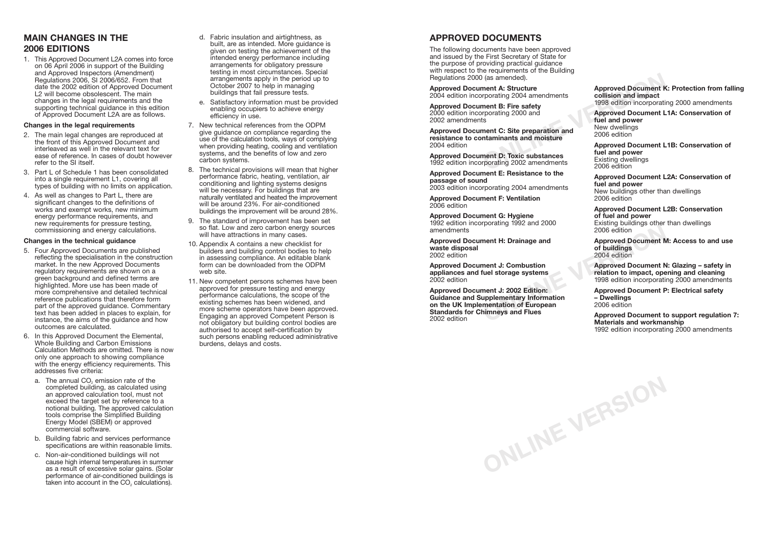# **APPROVED DOCUMENTS**

The following documents have been approved and issued by the First Secretary of State for the purpose of providing practical guidance with respect to the requirements of the Building Regulations 2000 (as amended).

**Approved Document A: Structure** 2004 edition incorporating 2004 amendments

**Approved Document B: Fire safety** 2000 edition incorporating 2000 and 2002 amendments

**Approved Document C: Site preparation and resistance to contaminants and moisture** 2004 edition

**Approved Document D: Toxic substances** 1992 edition incorporating 2002 amendments

**Approved Document E: Resistance to the passage of sound**

2003 edition incorporating 2004 amendments

**Approved Document F: Ventilation** 2006 edition

**Approved Document G: Hygiene** 1992 edition incorporating 1992 and 2000 amendments

**Approved Document H: Drainage and waste disposal** 2002 edition

**Approved Document J: Combustion appliances and fuel storage systems** 2002 edition

Fracting 1992 and 2008<br>
2006 edition<br>
ment H: Drainage and<br> **ONLINE SEARCE 2006** edition<br>
ment J: Combustion<br>
fuel storage systems<br>
fuel storage systems<br>
1998 edition to impact, ope<br>
1998 edition incorporation<br>
ment J: 200 **Approved Document J: 2002 Edition: Guidance and Supplementary Information on the UK Implementation of European Standards for Chimneys and Flues** 2002 edition

**ONLINE VERSION**

**Approved Document K: Protection from falling collision and impact** 1998 edition incorporating 2000 amendments

Fracting 2004 and the state of the state of the state of the state of the state of the state of the state of the state of the state of the state of the state of the state of the state of the state of the state of the state **Approved Document L1A: Conservation of fuel and power** New dwellings 2006 edition

**Approved Document L1B: Conservation of fuel and power** Existing dwellings 2006 edition

**Approved Document L2A: Conservation of fuel and power** New buildings other than dwellings 2006 edition

**Approved Document L2B: Conservation of fuel and power** Existing buildings other than dwellings 2006 edition

**Approved Document M: Access to and use of buildings** 2004 edition

**Approved Document N: Glazing – safety in relation to impact, opening and cleaning** 1998 edition incorporating 2000 amendments

**Approved Document P: Electrical safety – Dwellings** 2006 edition

**Approved Document to support regulation 7: Materials and workmanship** 1992 edition incorporating 2000 amendments